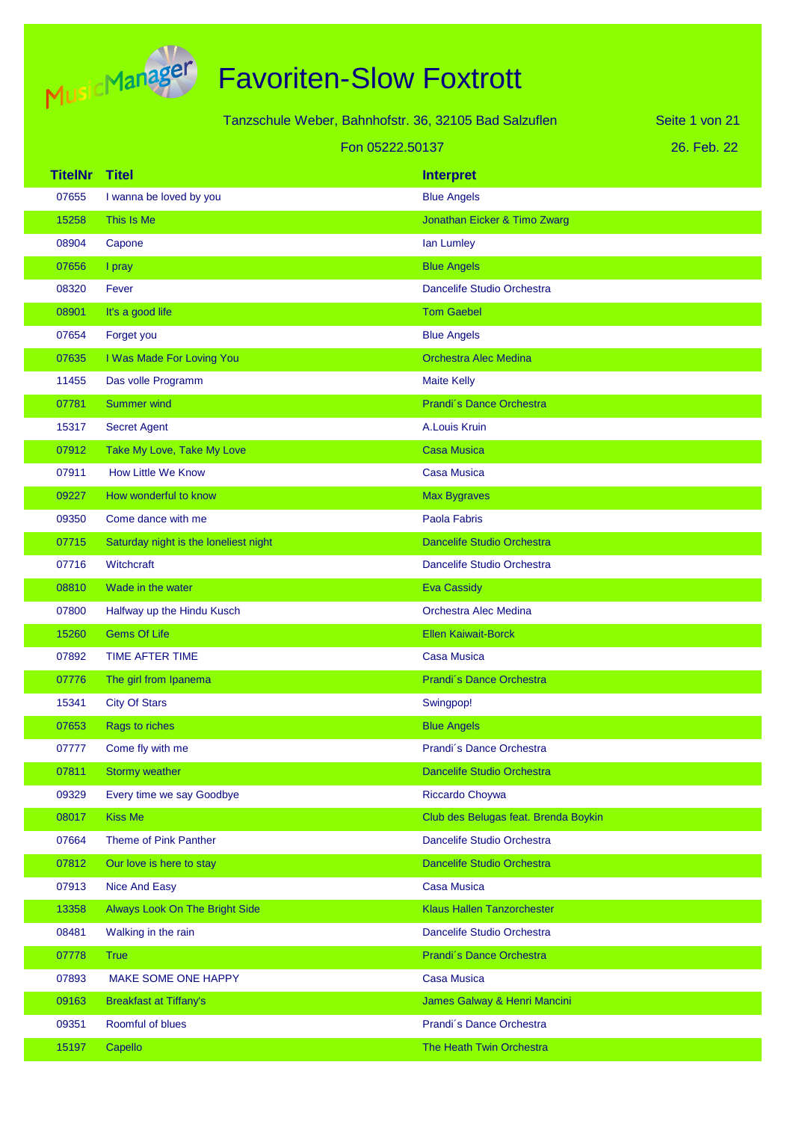

|         |                                       | Tanzschule Weber, Bahnhofstr. 36, 32105 Bad Salzuflen | Seite 1 von 21 |
|---------|---------------------------------------|-------------------------------------------------------|----------------|
|         |                                       | Fon 05222.50137                                       | 26. Feb. 22    |
| TitelNr | <b>Titel</b>                          | <b>Interpret</b>                                      |                |
| 07655   | I wanna be loved by you               | <b>Blue Angels</b>                                    |                |
| 15258   | This Is Me                            | Jonathan Eicker & Timo Zwarg                          |                |
| 08904   | Capone                                | lan Lumley                                            |                |
| 07656   | I pray                                | <b>Blue Angels</b>                                    |                |
| 08320   | Fever                                 | Dancelife Studio Orchestra                            |                |
| 08901   | It's a good life                      | <b>Tom Gaebel</b>                                     |                |
| 07654   | Forget you                            | <b>Blue Angels</b>                                    |                |
| 07635   | I Was Made For Loving You             | <b>Orchestra Alec Medina</b>                          |                |
| 11455   | Das volle Programm                    | <b>Maite Kelly</b>                                    |                |
| 07781   | <b>Summer wind</b>                    | Prandi's Dance Orchestra                              |                |
| 15317   | <b>Secret Agent</b>                   | A.Louis Kruin                                         |                |
| 07912   | Take My Love, Take My Love            | <b>Casa Musica</b>                                    |                |
| 07911   | <b>How Little We Know</b>             | Casa Musica                                           |                |
| 09227   | How wonderful to know                 | <b>Max Bygraves</b>                                   |                |
| 09350   | Come dance with me                    | Paola Fabris                                          |                |
| 07715   | Saturday night is the loneliest night | <b>Dancelife Studio Orchestra</b>                     |                |
| 07716   | Witchcraft                            | Dancelife Studio Orchestra                            |                |
| 08810   | Wade in the water                     | Eva Cassidy                                           |                |
| 07800   | Halfway up the Hindu Kusch            | Orchestra Alec Medina                                 |                |
| 15260   | <b>Gems Of Life</b>                   | <b>Ellen Kaiwait-Borck</b>                            |                |
| 07892   | <b>TIME AFTER TIME</b>                | Casa Musica                                           |                |
| 07776   | The girl from Ipanema                 | Prandi's Dance Orchestra                              |                |
| 15341   | <b>City Of Stars</b>                  | Swingpop!                                             |                |
| 07653   | Rags to riches                        | <b>Blue Angels</b>                                    |                |
| 07777   | Come fly with me                      | Prandi's Dance Orchestra                              |                |
| 07811   | <b>Stormy weather</b>                 | Dancelife Studio Orchestra                            |                |
| 09329   | Every time we say Goodbye             | Riccardo Choywa                                       |                |
| 08017   | <b>Kiss Me</b>                        | Club des Belugas feat. Brenda Boykin                  |                |
| 07664   | Theme of Pink Panther                 | Dancelife Studio Orchestra                            |                |
| 07812   | Our love is here to stay              | <b>Dancelife Studio Orchestra</b>                     |                |
| 07913   | <b>Nice And Easy</b>                  | <b>Casa Musica</b>                                    |                |
| 13358   | <b>Always Look On The Bright Side</b> | <b>Klaus Hallen Tanzorchester</b>                     |                |
| 08481   | Walking in the rain                   | Dancelife Studio Orchestra                            |                |
| 07778   | <b>True</b>                           | Prandi's Dance Orchestra                              |                |
| 07893   | MAKE SOME ONE HAPPY                   | <b>Casa Musica</b>                                    |                |
| 09163   | <b>Breakfast at Tiffany's</b>         | James Galway & Henri Mancini                          |                |
| 09351   | Roomful of blues                      | Prandi's Dance Orchestra                              |                |

15197 Capello **The Heath Twin Orchestra**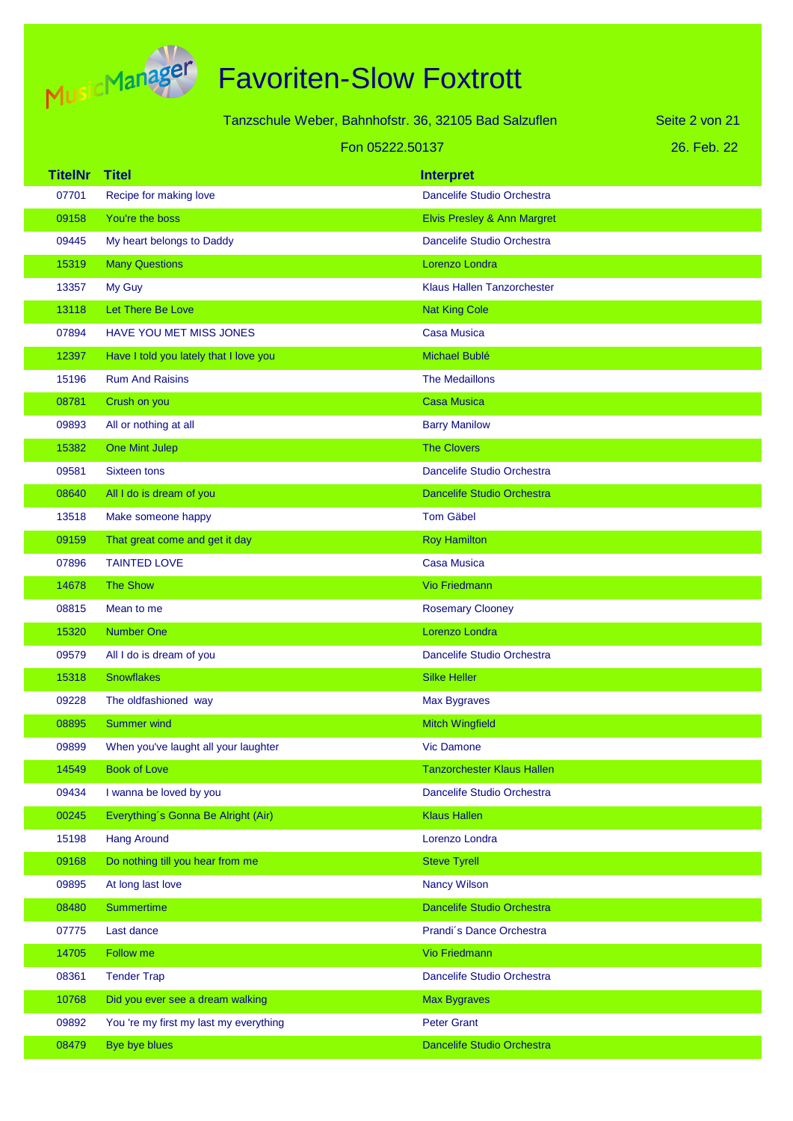

|                |                                        | Tanzschule Weber, Bahnhofstr. 36, 32105 Bad Salzuflen | Seite 2 von 21 |
|----------------|----------------------------------------|-------------------------------------------------------|----------------|
|                | Fon 05222.50137                        |                                                       | 26. Feb. 22    |
| <b>TitelNr</b> | <b>Titel</b>                           | <b>Interpret</b>                                      |                |
| 07701          | Recipe for making love                 | Dancelife Studio Orchestra                            |                |
| 09158          | You're the boss                        | Elvis Presley & Ann Margret                           |                |
| 09445          | My heart belongs to Daddy              | Dancelife Studio Orchestra                            |                |
| 15319          | <b>Many Questions</b>                  | Lorenzo Londra                                        |                |
| 13357          | My Guy                                 | <b>Klaus Hallen Tanzorchester</b>                     |                |
| 13118          | Let There Be Love                      | <b>Nat King Cole</b>                                  |                |
| 07894          | <b>HAVE YOU MET MISS JONES</b>         | <b>Casa Musica</b>                                    |                |
| 12397          | Have I told you lately that I love you | Michael Bublé                                         |                |
| 15196          | <b>Rum And Raisins</b>                 | <b>The Medaillons</b>                                 |                |
| 08781          | Crush on you                           | <b>Casa Musica</b>                                    |                |
| 09893          | All or nothing at all                  | <b>Barry Manilow</b>                                  |                |
| 15382          | One Mint Julep                         | <b>The Clovers</b>                                    |                |
| 09581          | Sixteen tons                           | Dancelife Studio Orchestra                            |                |
| 08640          | All I do is dream of you               | <b>Dancelife Studio Orchestra</b>                     |                |
| 13518          | Make someone happy                     | <b>Tom Gäbel</b>                                      |                |
| 09159          | That great come and get it day         | <b>Roy Hamilton</b>                                   |                |
| 07896          | <b>TAINTED LOVE</b>                    | <b>Casa Musica</b>                                    |                |
| 14678          | <b>The Show</b>                        | Vio Friedmann                                         |                |
| 08815          | Mean to me                             | <b>Rosemary Clooney</b>                               |                |
| 15320          | <b>Number One</b>                      | Lorenzo Londra                                        |                |
| 09579          | All I do is dream of you               | Dancelife Studio Orchestra                            |                |
| 15318          | <b>Snowflakes</b>                      | <b>Silke Heller</b>                                   |                |
| 09228          | The oldfashioned way                   | <b>Max Bygraves</b>                                   |                |
| 08895          | <b>Summer wind</b>                     | <b>Mitch Wingfield</b>                                |                |
| 09899          | When you've laught all your laughter   | <b>Vic Damone</b>                                     |                |
| 14549          | <b>Book of Love</b>                    | <b>Tanzorchester Klaus Hallen</b>                     |                |
| 09434          | I wanna be loved by you                | Dancelife Studio Orchestra                            |                |
| 00245          | Everything's Gonna Be Alright (Air)    | <b>Klaus Hallen</b>                                   |                |
| 15198          | <b>Hang Around</b>                     | Lorenzo Londra                                        |                |
| 09168          | Do nothing till you hear from me       | <b>Steve Tyrell</b>                                   |                |
| 09895          | At long last love                      | <b>Nancy Wilson</b>                                   |                |
| 08480          | <b>Summertime</b>                      | Dancelife Studio Orchestra                            |                |
| 07775          | Last dance                             | Prandi's Dance Orchestra                              |                |
| 14705          | Follow me                              | Vio Friedmann                                         |                |
| 08361          | <b>Tender Trap</b>                     | Dancelife Studio Orchestra                            |                |
| 10768          | Did you ever see a dream walking       | <b>Max Bygraves</b>                                   |                |
| 09892          | You 're my first my last my everything | <b>Peter Grant</b>                                    |                |
| 08479          | Bye bye blues                          | Dancelife Studio Orchestra                            |                |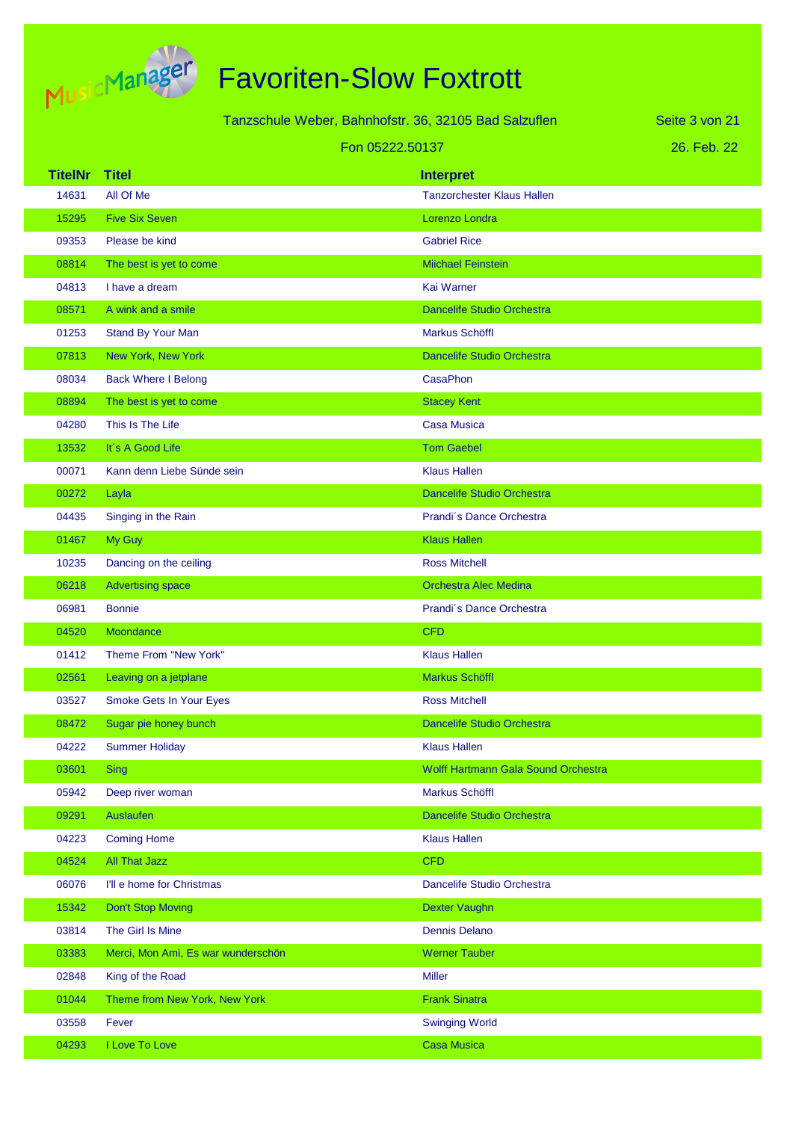

|                |                                    | Tanzschule Weber, Bahnhofstr. 36, 32105 Bad Salzuflen | Seite 3 von 21 |
|----------------|------------------------------------|-------------------------------------------------------|----------------|
|                |                                    | Fon 05222.50137                                       | 26. Feb. 22    |
| <b>TitelNr</b> | <b>Titel</b>                       | <b>Interpret</b>                                      |                |
| 14631          | All Of Me                          | <b>Tanzorchester Klaus Hallen</b>                     |                |
| 15295          | <b>Five Six Seven</b>              | Lorenzo Londra                                        |                |
| 09353          | Please be kind                     | <b>Gabriel Rice</b>                                   |                |
| 08814          | The best is yet to come            | <b>Miichael Feinstein</b>                             |                |
| 04813          | I have a dream                     | Kai Warner                                            |                |
| 08571          | A wink and a smile                 | <b>Dancelife Studio Orchestra</b>                     |                |
| 01253          | Stand By Your Man                  | Markus Schöffl                                        |                |
| 07813          | New York, New York                 | <b>Dancelife Studio Orchestra</b>                     |                |
| 08034          | <b>Back Where I Belong</b>         | <b>CasaPhon</b>                                       |                |
| 08894          | The best is yet to come            | <b>Stacey Kent</b>                                    |                |
| 04280          | This Is The Life                   | <b>Casa Musica</b>                                    |                |
| 13532          | It's A Good Life                   | <b>Tom Gaebel</b>                                     |                |
| 00071          | Kann denn Liebe Sünde sein         | <b>Klaus Hallen</b>                                   |                |
| 00272          | Layla                              | <b>Dancelife Studio Orchestra</b>                     |                |
| 04435          | Singing in the Rain                | Prandi's Dance Orchestra                              |                |
| 01467          | My Guy                             | <b>Klaus Hallen</b>                                   |                |
| 10235          | Dancing on the ceiling             | <b>Ross Mitchell</b>                                  |                |
| 06218          | <b>Advertising space</b>           | <b>Orchestra Alec Medina</b>                          |                |
| 06981          | <b>Bonnie</b>                      | Prandi's Dance Orchestra                              |                |
| 04520          | Moondance                          | <b>CFD</b>                                            |                |
| 01412          | Theme From "New York"              | <b>Klaus Hallen</b>                                   |                |
| 02561          | Leaving on a jetplane              | Markus Schöffl                                        |                |
| 03527          | <b>Smoke Gets In Your Eyes</b>     | <b>Ross Mitchell</b>                                  |                |
| 08472          | Sugar pie honey bunch              | Dancelife Studio Orchestra                            |                |
| 04222          | <b>Summer Holiday</b>              | <b>Klaus Hallen</b>                                   |                |
| 03601          | <b>Sing</b>                        | Wolff Hartmann Gala Sound Orchestra                   |                |
| 05942          | Deep river woman                   | Markus Schöffl                                        |                |
| 09291          | Auslaufen                          | Dancelife Studio Orchestra                            |                |
| 04223          | <b>Coming Home</b>                 | <b>Klaus Hallen</b>                                   |                |
| 04524          | <b>All That Jazz</b>               | <b>CFD</b>                                            |                |
| 06076          | I'll e home for Christmas          | Dancelife Studio Orchestra                            |                |
| 15342          | <b>Don't Stop Moving</b>           | Dexter Vaughn                                         |                |
| 03814          | The Girl Is Mine                   | <b>Dennis Delano</b>                                  |                |
| 03383          | Merci, Mon Ami, Es war wunderschön | <b>Werner Tauber</b>                                  |                |
| 02848          | King of the Road                   | <b>Miller</b>                                         |                |
| 01044          | Theme from New York, New York      | <b>Frank Sinatra</b>                                  |                |
| 03558          | Fever                              | <b>Swinging World</b>                                 |                |
| 04293          | I Love To Love                     | Casa Musica                                           |                |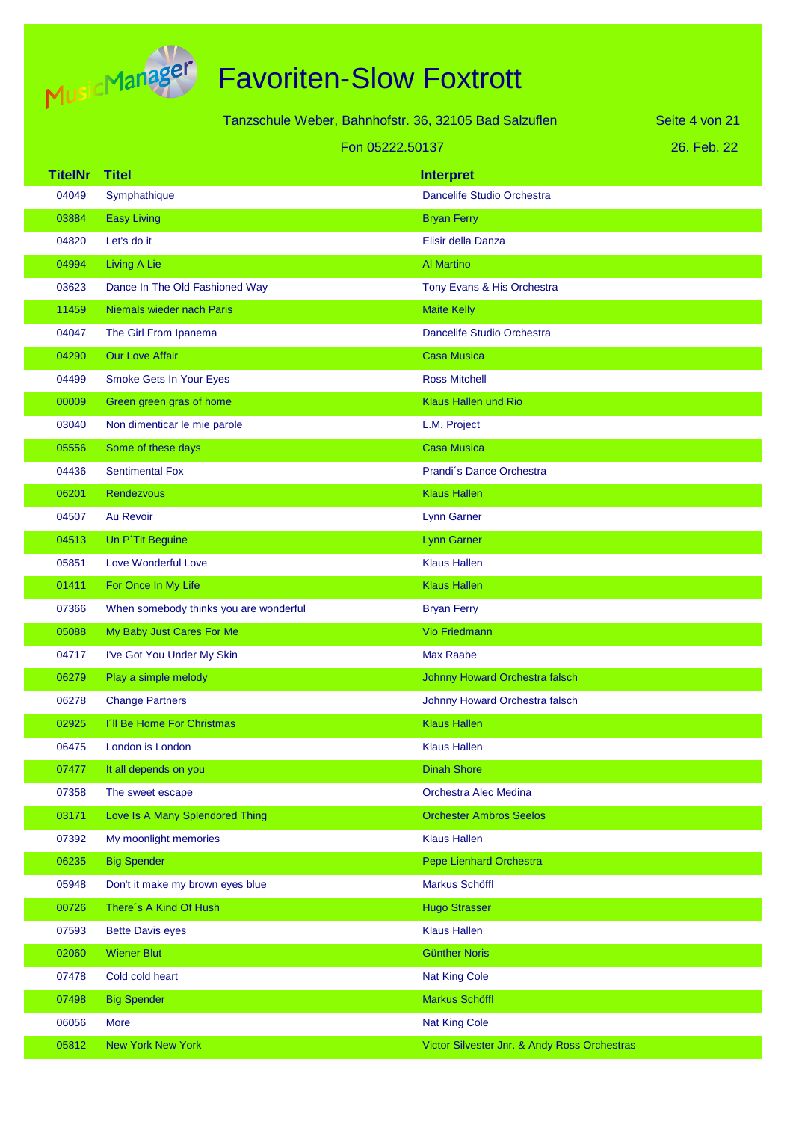

|                |                                        | Tanzschule Weber, Bahnhofstr. 36, 32105 Bad Salzuflen | Seite 4 von 21 |
|----------------|----------------------------------------|-------------------------------------------------------|----------------|
|                | Fon 05222.50137                        |                                                       | 26. Feb. 22    |
| <b>TitelNr</b> | <b>Titel</b>                           | <b>Interpret</b>                                      |                |
| 04049          | Symphathique                           | <b>Dancelife Studio Orchestra</b>                     |                |
| 03884          | <b>Easy Living</b>                     | <b>Bryan Ferry</b>                                    |                |
| 04820          | Let's do it                            | Elisir della Danza                                    |                |
| 04994          | <b>Living A Lie</b>                    | <b>Al Martino</b>                                     |                |
| 03623          | Dance In The Old Fashioned Way         | Tony Evans & His Orchestra                            |                |
| 11459          | Niemals wieder nach Paris              | <b>Maite Kelly</b>                                    |                |
| 04047          | The Girl From Ipanema                  | Dancelife Studio Orchestra                            |                |
| 04290          | <b>Our Love Affair</b>                 | <b>Casa Musica</b>                                    |                |
| 04499          | Smoke Gets In Your Eyes                | <b>Ross Mitchell</b>                                  |                |
| 00009          | Green green gras of home               | <b>Klaus Hallen und Rio</b>                           |                |
| 03040          | Non dimenticar le mie parole           | L.M. Project                                          |                |
| 05556          | Some of these days                     | <b>Casa Musica</b>                                    |                |
| 04436          | <b>Sentimental Fox</b>                 | Prandi's Dance Orchestra                              |                |
| 06201          | <b>Rendezvous</b>                      | <b>Klaus Hallen</b>                                   |                |
| 04507          | <b>Au Revoir</b>                       | Lynn Garner                                           |                |
| 04513          | Un P'Tit Beguine                       | <b>Lynn Garner</b>                                    |                |
| 05851          | Love Wonderful Love                    | <b>Klaus Hallen</b>                                   |                |
| 01411          | For Once In My Life                    | <b>Klaus Hallen</b>                                   |                |
| 07366          | When somebody thinks you are wonderful | <b>Bryan Ferry</b>                                    |                |
| 05088          | My Baby Just Cares For Me              | <b>Vio Friedmann</b>                                  |                |
| 04717          | I've Got You Under My Skin             | <b>Max Raabe</b>                                      |                |
| 06279          | Play a simple melody                   | Johnny Howard Orchestra falsch                        |                |
| 06278          | <b>Change Partners</b>                 | Johnny Howard Orchestra falsch                        |                |
| 02925          | I'll Be Home For Christmas             | <b>Klaus Hallen</b>                                   |                |
| 06475          | London is London                       | <b>Klaus Hallen</b>                                   |                |
| 07477          | It all depends on you                  | <b>Dinah Shore</b>                                    |                |
| 07358          | The sweet escape                       | Orchestra Alec Medina                                 |                |
| 03171          | Love Is A Many Splendored Thing        | <b>Orchester Ambros Seelos</b>                        |                |
| 07392          | My moonlight memories                  | <b>Klaus Hallen</b>                                   |                |
| 06235          | <b>Big Spender</b>                     | Pepe Lienhard Orchestra                               |                |
| 05948          | Don't it make my brown eyes blue       | Markus Schöffl                                        |                |
| 00726          | There's A Kind Of Hush                 | <b>Hugo Strasser</b>                                  |                |
| 07593          | <b>Bette Davis eyes</b>                | <b>Klaus Hallen</b>                                   |                |
| 02060          | <b>Wiener Blut</b>                     | <b>Günther Noris</b>                                  |                |
| 07478          | Cold cold heart                        | <b>Nat King Cole</b>                                  |                |
| 07498          | <b>Big Spender</b>                     | Markus Schöffl                                        |                |
| 06056          | <b>More</b>                            | <b>Nat King Cole</b>                                  |                |
| 05812          | <b>New York New York</b>               | Victor Silvester Jnr. & Andy Ross Orchestras          |                |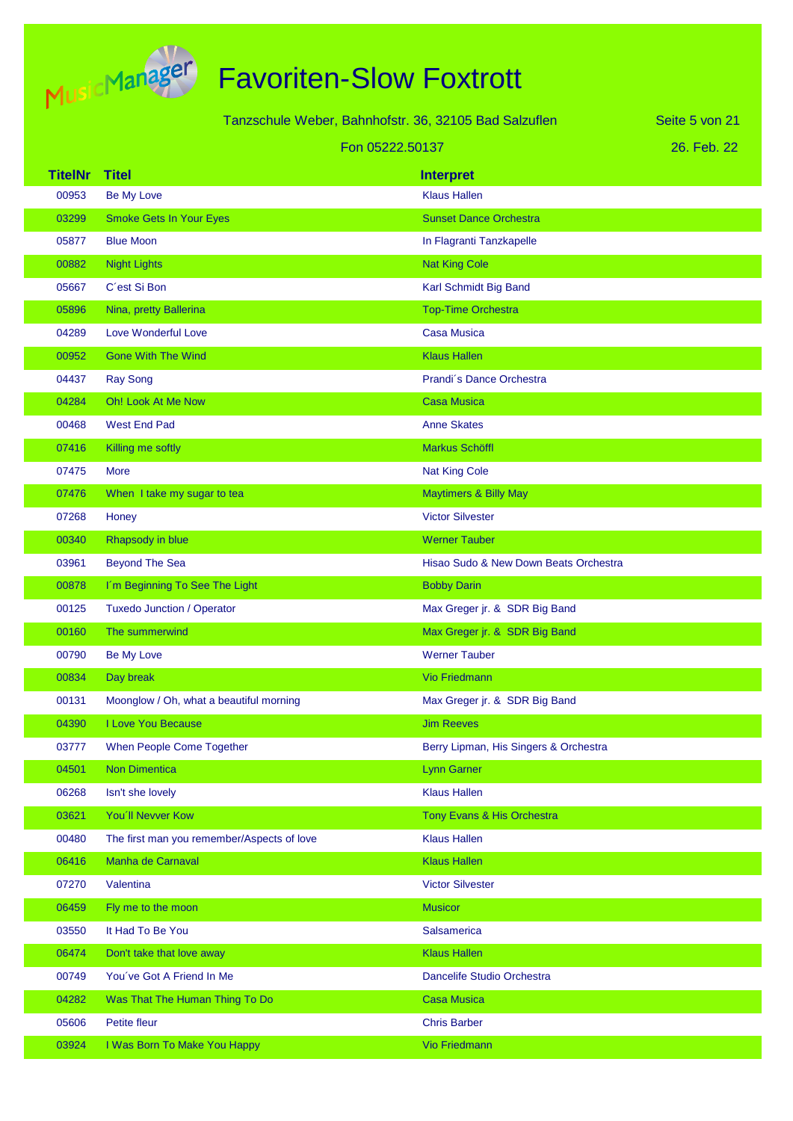

| Tanzschule Weber, Bahnhofstr. 36, 32105 Bad Salzuflen<br>Seite 5 von 21 |                                            |                                       |             |
|-------------------------------------------------------------------------|--------------------------------------------|---------------------------------------|-------------|
|                                                                         | Fon 05222.50137                            |                                       | 26. Feb. 22 |
| <b>TitelNr</b>                                                          | <b>Titel</b>                               | <b>Interpret</b>                      |             |
| 00953                                                                   | Be My Love                                 | <b>Klaus Hallen</b>                   |             |
| 03299                                                                   | <b>Smoke Gets In Your Eyes</b>             | <b>Sunset Dance Orchestra</b>         |             |
| 05877                                                                   | <b>Blue Moon</b>                           | In Flagranti Tanzkapelle              |             |
| 00882                                                                   | <b>Night Lights</b>                        | <b>Nat King Cole</b>                  |             |
| 05667                                                                   | C'est Si Bon                               | Karl Schmidt Big Band                 |             |
| 05896                                                                   | Nina, pretty Ballerina                     | <b>Top-Time Orchestra</b>             |             |
| 04289                                                                   | Love Wonderful Love                        | <b>Casa Musica</b>                    |             |
| 00952                                                                   | <b>Gone With The Wind</b>                  | <b>Klaus Hallen</b>                   |             |
| 04437                                                                   | <b>Ray Song</b>                            | Prandi's Dance Orchestra              |             |
| 04284                                                                   | <b>Oh! Look At Me Now</b>                  | <b>Casa Musica</b>                    |             |
| 00468                                                                   | <b>West End Pad</b>                        | <b>Anne Skates</b>                    |             |
| 07416                                                                   | Killing me softly                          | <b>Markus Schöffl</b>                 |             |
| 07475                                                                   | <b>More</b>                                | <b>Nat King Cole</b>                  |             |
| 07476                                                                   | When I take my sugar to tea                | <b>Maytimers &amp; Billy May</b>      |             |
| 07268                                                                   | Honey                                      | <b>Victor Silvester</b>               |             |
| 00340                                                                   | Rhapsody in blue                           | <b>Werner Tauber</b>                  |             |
| 03961                                                                   | <b>Beyond The Sea</b>                      | Hisao Sudo & New Down Beats Orchestra |             |
| 00878                                                                   | I'm Beginning To See The Light             | <b>Bobby Darin</b>                    |             |
| 00125                                                                   | <b>Tuxedo Junction / Operator</b>          | Max Greger jr. & SDR Big Band         |             |
| 00160                                                                   | The summerwind                             | Max Greger jr. & SDR Big Band         |             |
| 00790                                                                   | Be My Love                                 | <b>Werner Tauber</b>                  |             |
| 00834                                                                   | Day break                                  | <b>Vio Friedmann</b>                  |             |
| 00131                                                                   | Moonglow / Oh, what a beautiful morning    | Max Greger jr. & SDR Big Band         |             |
| 04390                                                                   | I Love You Because                         | <b>Jim Reeves</b>                     |             |
| 03777                                                                   | When People Come Together                  | Berry Lipman, His Singers & Orchestra |             |
| 04501                                                                   | <b>Non Dimentica</b>                       | <b>Lynn Garner</b>                    |             |
| 06268                                                                   | Isn't she lovely                           | <b>Klaus Hallen</b>                   |             |
| 03621                                                                   | You'll Nevver Kow                          | Tony Evans & His Orchestra            |             |
| 00480                                                                   | The first man you remember/Aspects of love | <b>Klaus Hallen</b>                   |             |
| 06416                                                                   | Manha de Carnaval                          | <b>Klaus Hallen</b>                   |             |
| 07270                                                                   | Valentina                                  | <b>Victor Silvester</b>               |             |
| 06459                                                                   | Fly me to the moon                         | <b>Musicor</b>                        |             |
| 03550                                                                   | It Had To Be You                           | Salsamerica                           |             |
| 06474                                                                   | Don't take that love away                  | <b>Klaus Hallen</b>                   |             |
| 00749                                                                   | You've Got A Friend In Me                  | Dancelife Studio Orchestra            |             |
| 04282                                                                   | Was That The Human Thing To Do             | <b>Casa Musica</b>                    |             |
| 05606                                                                   | Petite fleur                               | <b>Chris Barber</b>                   |             |
| 03924                                                                   | I Was Born To Make You Happy               | <b>Vio Friedmann</b>                  |             |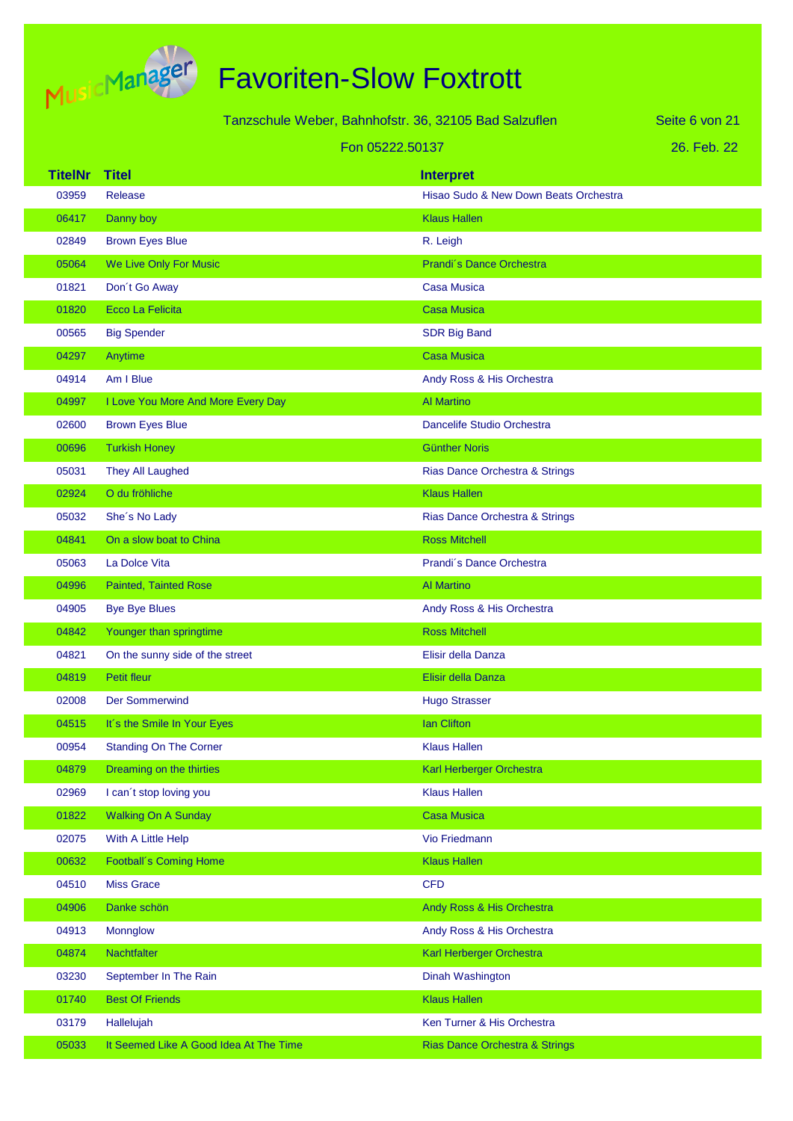

Tanzschule Weber, Bahnhofstr. 36, 32105 Bad Salzuflen

Seite 6 von 21

#### Fon 05222.50137

26. Feb. 22

| <b>TitelNr</b> | <b>Titel</b>                           | <b>Interpret</b>                      |
|----------------|----------------------------------------|---------------------------------------|
| 03959          | Release                                | Hisao Sudo & New Down Beats Orchestra |
| 06417          | Danny boy                              | <b>Klaus Hallen</b>                   |
| 02849          | <b>Brown Eyes Blue</b>                 | R. Leigh                              |
| 05064          | We Live Only For Music                 | Prandi's Dance Orchestra              |
| 01821          | Don't Go Away                          | <b>Casa Musica</b>                    |
| 01820          | Ecco La Felicita                       | <b>Casa Musica</b>                    |
| 00565          | <b>Big Spender</b>                     | <b>SDR Big Band</b>                   |
| 04297          | Anytime                                | <b>Casa Musica</b>                    |
| 04914          | Am I Blue                              | Andy Ross & His Orchestra             |
| 04997          | I Love You More And More Every Day     | <b>Al Martino</b>                     |
| 02600          | <b>Brown Eyes Blue</b>                 | Dancelife Studio Orchestra            |
| 00696          | <b>Turkish Honey</b>                   | <b>Günther Noris</b>                  |
| 05031          | They All Laughed                       | Rias Dance Orchestra & Strings        |
| 02924          | O du fröhliche                         | <b>Klaus Hallen</b>                   |
| 05032          | She's No Lady                          | Rias Dance Orchestra & Strings        |
| 04841          | On a slow boat to China                | <b>Ross Mitchell</b>                  |
| 05063          | La Dolce Vita                          | Prandi's Dance Orchestra              |
| 04996          | <b>Painted, Tainted Rose</b>           | <b>Al Martino</b>                     |
| 04905          | <b>Bye Bye Blues</b>                   | Andy Ross & His Orchestra             |
| 04842          | Younger than springtime                | <b>Ross Mitchell</b>                  |
| 04821          | On the sunny side of the street        | Elisir della Danza                    |
| 04819          | <b>Petit fleur</b>                     | Elisir della Danza                    |
| 02008          | <b>Der Sommerwind</b>                  | <b>Hugo Strasser</b>                  |
| 04515          | It's the Smile In Your Eyes            | <b>Ian Clifton</b>                    |
| 00954          | <b>Standing On The Corner</b>          | <b>Klaus Hallen</b>                   |
| 04879          | Dreaming on the thirties               | Karl Herberger Orchestra              |
| 02969          | I can't stop loving you                | <b>Klaus Hallen</b>                   |
| 01822          | <b>Walking On A Sunday</b>             | <b>Casa Musica</b>                    |
| 02075          | With A Little Help                     | Vio Friedmann                         |
| 00632          | <b>Football's Coming Home</b>          | <b>Klaus Hallen</b>                   |
| 04510          | <b>Miss Grace</b>                      | <b>CFD</b>                            |
| 04906          | Danke schön                            | Andy Ross & His Orchestra             |
| 04913          | <b>Monnglow</b>                        | Andy Ross & His Orchestra             |
| 04874          | <b>Nachtfalter</b>                     | Karl Herberger Orchestra              |
| 03230          | September In The Rain                  | Dinah Washington                      |
| 01740          | <b>Best Of Friends</b>                 | <b>Klaus Hallen</b>                   |
| 03179          | Hallelujah                             | Ken Turner & His Orchestra            |
| 05033          | It Seemed Like A Good Idea At The Time | Rias Dance Orchestra & Strings        |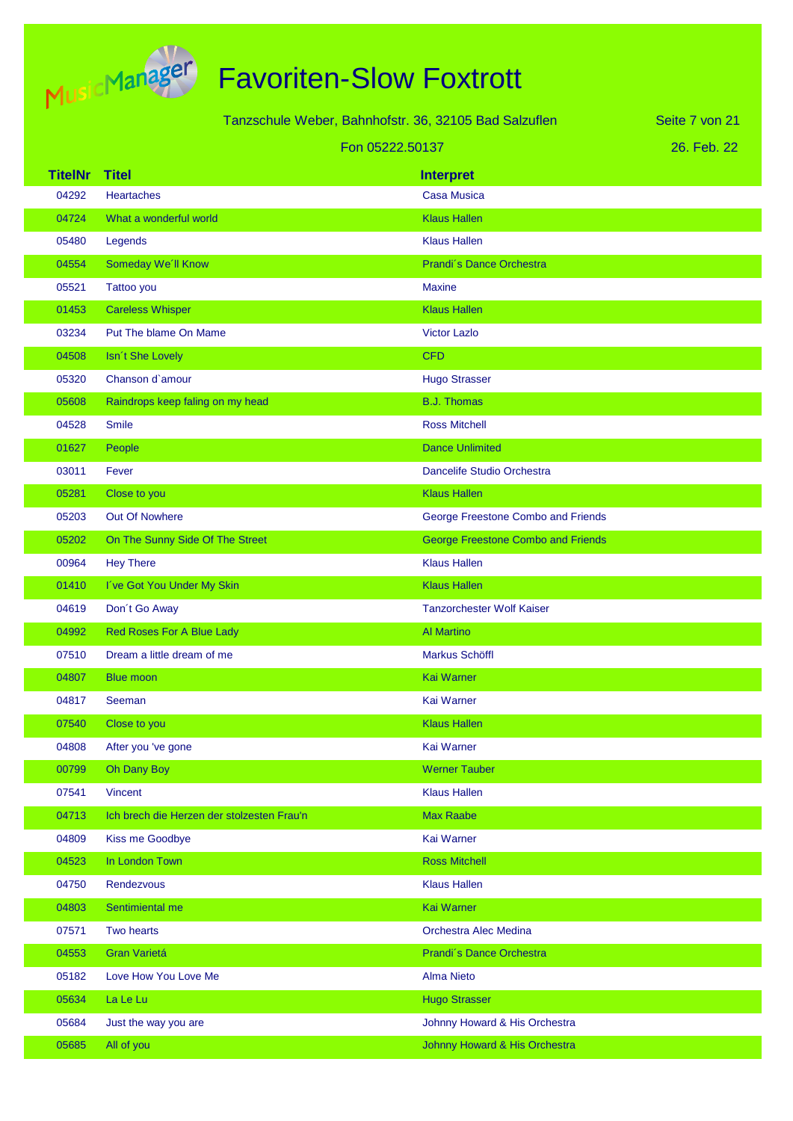

| Tanzschule Weber, Bahnhofstr. 36, 32105 Bad Salzuflen |                                            |                                           | Seite 7 von 21 |
|-------------------------------------------------------|--------------------------------------------|-------------------------------------------|----------------|
| Fon 05222.50137                                       |                                            | 26. Feb. 22                               |                |
| <b>TitelNr</b>                                        | <b>Titel</b>                               | <b>Interpret</b>                          |                |
| 04292                                                 | <b>Heartaches</b>                          | <b>Casa Musica</b>                        |                |
| 04724                                                 | What a wonderful world                     | <b>Klaus Hallen</b>                       |                |
| 05480                                                 | Legends                                    | <b>Klaus Hallen</b>                       |                |
| 04554                                                 | Someday We'll Know                         | Prandi's Dance Orchestra                  |                |
| 05521                                                 | Tattoo you                                 | <b>Maxine</b>                             |                |
| 01453                                                 | <b>Careless Whisper</b>                    | <b>Klaus Hallen</b>                       |                |
| 03234                                                 | Put The blame On Mame                      | <b>Victor Lazlo</b>                       |                |
| 04508                                                 | Isn't She Lovely                           | <b>CFD</b>                                |                |
| 05320                                                 | Chanson d'amour                            | <b>Hugo Strasser</b>                      |                |
| 05608                                                 | Raindrops keep faling on my head           | <b>B.J. Thomas</b>                        |                |
| 04528                                                 | <b>Smile</b>                               | <b>Ross Mitchell</b>                      |                |
| 01627                                                 | People                                     | <b>Dance Unlimited</b>                    |                |
| 03011                                                 | Fever                                      | Dancelife Studio Orchestra                |                |
| 05281                                                 | Close to you                               | <b>Klaus Hallen</b>                       |                |
| 05203                                                 | <b>Out Of Nowhere</b>                      | George Freestone Combo and Friends        |                |
| 05202                                                 | On The Sunny Side Of The Street            | <b>George Freestone Combo and Friends</b> |                |
| 00964                                                 | <b>Hey There</b>                           | <b>Klaus Hallen</b>                       |                |
| 01410                                                 | I've Got You Under My Skin                 | <b>Klaus Hallen</b>                       |                |
| 04619                                                 | Don't Go Away                              | <b>Tanzorchester Wolf Kaiser</b>          |                |
| 04992                                                 | <b>Red Roses For A Blue Lady</b>           | <b>Al Martino</b>                         |                |
| 07510                                                 | Dream a little dream of me                 | Markus Schöffl                            |                |
| 04807                                                 | <b>Blue moon</b>                           | <b>Kai Warner</b>                         |                |
| 04817                                                 | Seeman                                     | <b>Kai Warner</b>                         |                |
| 07540                                                 | Close to you                               | <b>Klaus Hallen</b>                       |                |
| 04808                                                 | After you 've gone                         | Kai Warner                                |                |
| 00799                                                 | Oh Dany Boy                                | <b>Werner Tauber</b>                      |                |
| 07541                                                 | Vincent                                    | <b>Klaus Hallen</b>                       |                |
| 04713                                                 | Ich brech die Herzen der stolzesten Frau'n | <b>Max Raabe</b>                          |                |
| 04809                                                 | Kiss me Goodbye                            | Kai Warner                                |                |
| 04523                                                 | In London Town                             | <b>Ross Mitchell</b>                      |                |
| 04750                                                 | Rendezvous                                 | <b>Klaus Hallen</b>                       |                |
| 04803                                                 | Sentimiental me                            | Kai Warner                                |                |
| 07571                                                 | Two hearts                                 | Orchestra Alec Medina                     |                |
| 04553                                                 | <b>Gran Varietá</b>                        | Prandi's Dance Orchestra                  |                |
| 05182                                                 | Love How You Love Me                       | <b>Alma Nieto</b>                         |                |
| 05634                                                 | La Le Lu                                   | <b>Hugo Strasser</b>                      |                |
| 05684                                                 | Just the way you are                       | Johnny Howard & His Orchestra             |                |
| 05685                                                 | All of you                                 | Johnny Howard & His Orchestra             |                |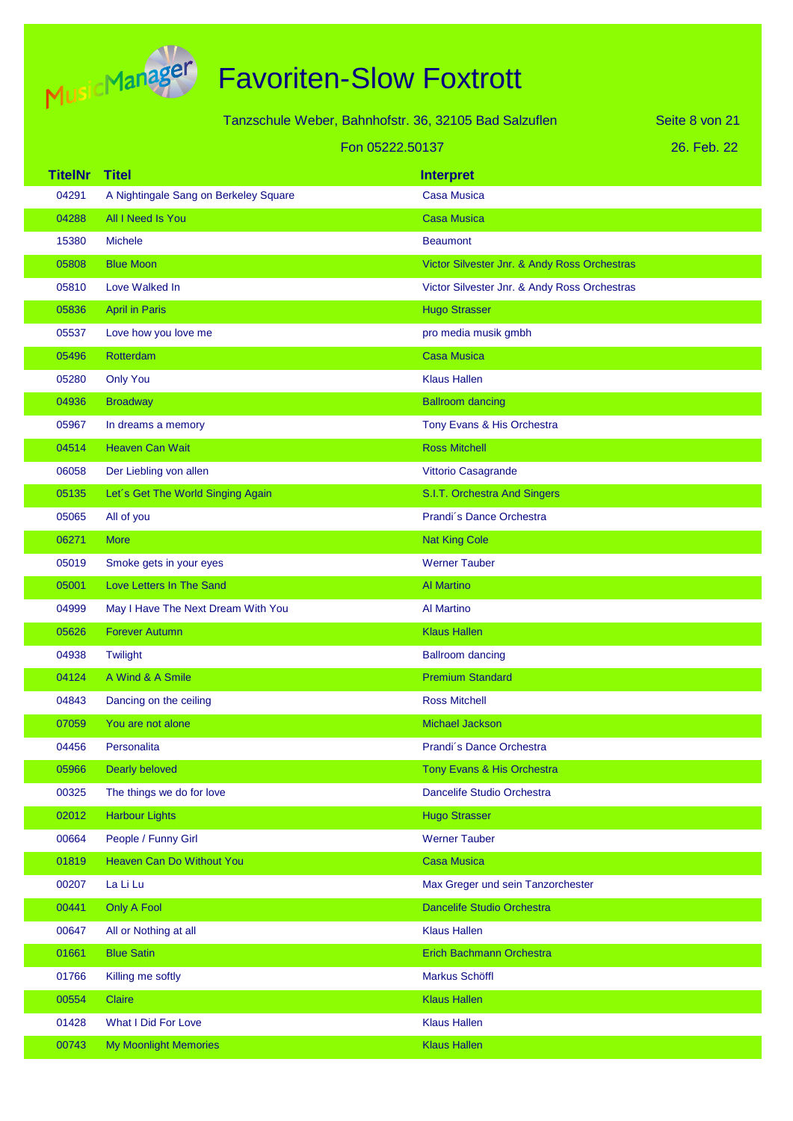

# Favoriten-Slow Foxtrott

|                | Tanzschule Weber, Bahnhofstr. 36, 32105 Bad Salzuflen<br>Seite 8 von 21 |                                              |             |
|----------------|-------------------------------------------------------------------------|----------------------------------------------|-------------|
|                | Fon 05222.50137                                                         |                                              | 26. Feb. 22 |
| <b>TitelNr</b> | <b>Titel</b>                                                            | <b>Interpret</b>                             |             |
| 04291          | A Nightingale Sang on Berkeley Square                                   | <b>Casa Musica</b>                           |             |
| 04288          | All I Need Is You                                                       | <b>Casa Musica</b>                           |             |
| 15380          | <b>Michele</b>                                                          | <b>Beaumont</b>                              |             |
| 05808          | <b>Blue Moon</b>                                                        | Victor Silvester Jnr. & Andy Ross Orchestras |             |
| 05810          | Love Walked In                                                          | Victor Silvester Jnr. & Andy Ross Orchestras |             |
| 05836          | <b>April in Paris</b>                                                   | <b>Hugo Strasser</b>                         |             |
| 05537          | Love how you love me                                                    | pro media musik gmbh                         |             |
| 05496          | Rotterdam                                                               | <b>Casa Musica</b>                           |             |
| 05280          | <b>Only You</b>                                                         | <b>Klaus Hallen</b>                          |             |
| 04936          | <b>Broadway</b>                                                         | <b>Ballroom dancing</b>                      |             |
| 05967          | In dreams a memory                                                      | Tony Evans & His Orchestra                   |             |
| 04514          | <b>Heaven Can Wait</b>                                                  | <b>Ross Mitchell</b>                         |             |
| 06058          | Der Liebling von allen                                                  | Vittorio Casagrande                          |             |
| 05135          | Let's Get The World Singing Again                                       | S.I.T. Orchestra And Singers                 |             |
| 05065          | All of you                                                              | Prandi's Dance Orchestra                     |             |
| 06271          | <b>More</b>                                                             | <b>Nat King Cole</b>                         |             |
| 05019          | Smoke gets in your eyes                                                 | <b>Werner Tauber</b>                         |             |
| 05001          | Love Letters In The Sand                                                | <b>Al Martino</b>                            |             |
| 04999          | May I Have The Next Dream With You                                      | Al Martino                                   |             |
| 05626          | <b>Forever Autumn</b>                                                   | <b>Klaus Hallen</b>                          |             |
| 04938          | Twilight                                                                | <b>Ballroom dancing</b>                      |             |
| 04124          | A Wind & A Smile                                                        | <b>Premium Standard</b>                      |             |
| 04843          | Dancing on the ceiling                                                  | <b>Ross Mitchell</b>                         |             |
| 07059          | You are not alone                                                       | Michael Jackson                              |             |
| 04456          | Personalita                                                             | Prandi's Dance Orchestra                     |             |
| 05966          | Dearly beloved                                                          | Tony Evans & His Orchestra                   |             |
| 00325          | The things we do for love                                               | Dancelife Studio Orchestra                   |             |
| 02012          | <b>Harbour Lights</b>                                                   | <b>Hugo Strasser</b>                         |             |
| 00664          | People / Funny Girl                                                     | <b>Werner Tauber</b>                         |             |
| 01819          | Heaven Can Do Without You                                               | <b>Casa Musica</b>                           |             |
| 00207          | La Li Lu                                                                | Max Greger und sein Tanzorchester            |             |
| 00441          | Only A Fool                                                             | Dancelife Studio Orchestra                   |             |
| 00647          | All or Nothing at all                                                   | <b>Klaus Hallen</b>                          |             |
| 01661          | <b>Blue Satin</b>                                                       | Erich Bachmann Orchestra                     |             |
| 01766          | Killing me softly                                                       | Markus Schöffl                               |             |
| 00554          | <b>Claire</b>                                                           | <b>Klaus Hallen</b>                          |             |
| 01428          | What I Did For Love                                                     | <b>Klaus Hallen</b>                          |             |

00743 My Moonlight Memories **Klaus Hallen**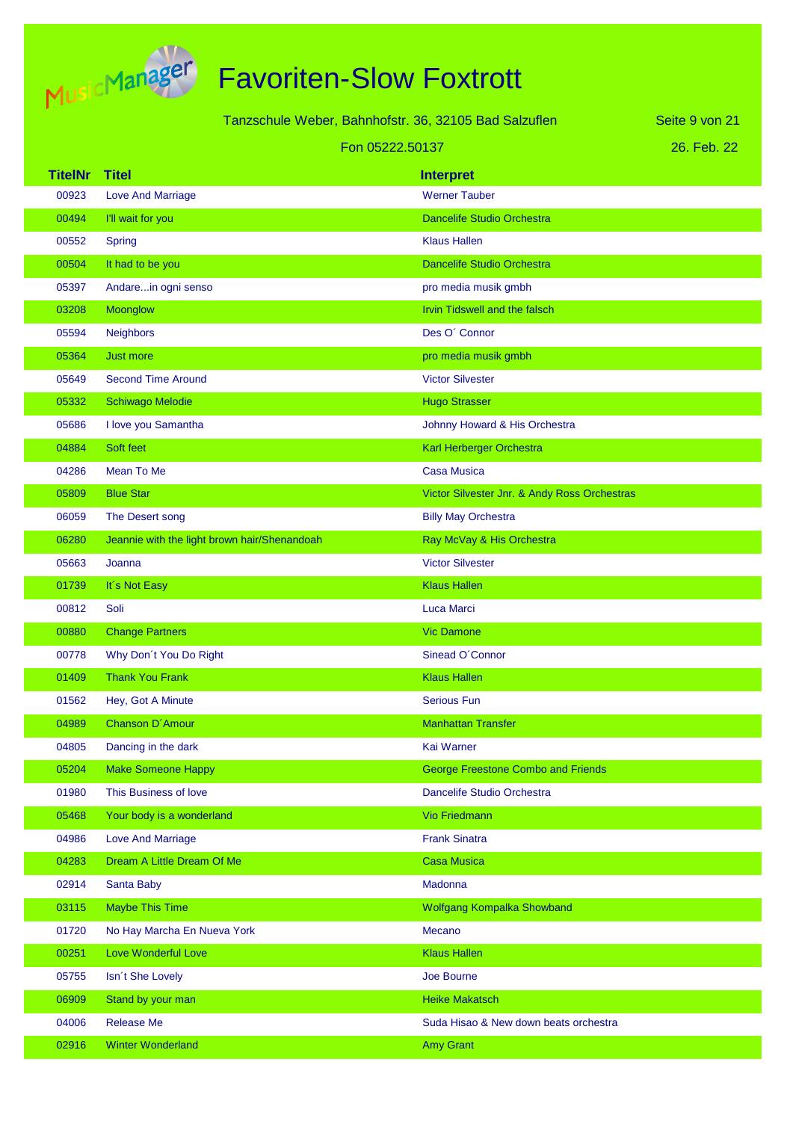

|                |                                              | Tanzschule Weber, Bahnhofstr. 36, 32105 Bad Salzuflen | Seite 9 von 21 |
|----------------|----------------------------------------------|-------------------------------------------------------|----------------|
|                | Fon 05222.50137                              |                                                       | 26. Feb. 22    |
| <b>TitelNr</b> | <b>Titel</b>                                 | <b>Interpret</b>                                      |                |
| 00923          | <b>Love And Marriage</b>                     | <b>Werner Tauber</b>                                  |                |
| 00494          | I'll wait for you                            | <b>Dancelife Studio Orchestra</b>                     |                |
| 00552          | Spring                                       | <b>Klaus Hallen</b>                                   |                |
| 00504          | It had to be you                             | <b>Dancelife Studio Orchestra</b>                     |                |
| 05397          | Andarein ogni senso                          | pro media musik gmbh                                  |                |
| 03208          | Moonglow                                     | Irvin Tidswell and the falsch                         |                |
| 05594          | <b>Neighbors</b>                             | Des O' Connor                                         |                |
| 05364          | Just more                                    | pro media musik gmbh                                  |                |
| 05649          | <b>Second Time Around</b>                    | <b>Victor Silvester</b>                               |                |
| 05332          | <b>Schiwago Melodie</b>                      | <b>Hugo Strasser</b>                                  |                |
| 05686          | I love you Samantha                          | Johnny Howard & His Orchestra                         |                |
| 04884          | Soft feet                                    | Karl Herberger Orchestra                              |                |
| 04286          | Mean To Me                                   | <b>Casa Musica</b>                                    |                |
| 05809          | <b>Blue Star</b>                             | Victor Silvester Jnr. & Andy Ross Orchestras          |                |
| 06059          | The Desert song                              | <b>Billy May Orchestra</b>                            |                |
| 06280          | Jeannie with the light brown hair/Shenandoah | Ray McVay & His Orchestra                             |                |
| 05663          | Joanna                                       | <b>Victor Silvester</b>                               |                |
| 01739          | It's Not Easy                                | <b>Klaus Hallen</b>                                   |                |
| 00812          | Soli                                         | Luca Marci                                            |                |
| 00880          | <b>Change Partners</b>                       | <b>Vic Damone</b>                                     |                |
| 00778          | Why Don't You Do Right                       | Sinead O'Connor                                       |                |
| 01409          | <b>Thank You Frank</b>                       | <b>Klaus Hallen</b>                                   |                |
| 01562          | Hey, Got A Minute                            | <b>Serious Fun</b>                                    |                |
| 04989          | Chanson D'Amour                              | <b>Manhattan Transfer</b>                             |                |
| 04805          | Dancing in the dark                          | Kai Warner                                            |                |
| 05204          | <b>Make Someone Happy</b>                    | George Freestone Combo and Friends                    |                |
| 01980          | This Business of love                        | Dancelife Studio Orchestra                            |                |
| 05468          | Your body is a wonderland                    | <b>Vio Friedmann</b>                                  |                |
| 04986          | <b>Love And Marriage</b>                     | <b>Frank Sinatra</b>                                  |                |
| 04283          | Dream A Little Dream Of Me                   | <b>Casa Musica</b>                                    |                |
| 02914          | Santa Baby                                   | Madonna                                               |                |
| 03115          | <b>Maybe This Time</b>                       | Wolfgang Kompalka Showband                            |                |
| 01720          | No Hay Marcha En Nueva York                  | Mecano                                                |                |
| 00251          | Love Wonderful Love                          | <b>Klaus Hallen</b>                                   |                |
| 05755          | Isn't She Lovely                             | Joe Bourne                                            |                |
| 06909          | Stand by your man                            | <b>Heike Makatsch</b>                                 |                |
| 04006          | <b>Release Me</b>                            | Suda Hisao & New down beats orchestra                 |                |
| 02916          | <b>Winter Wonderland</b>                     | <b>Amy Grant</b>                                      |                |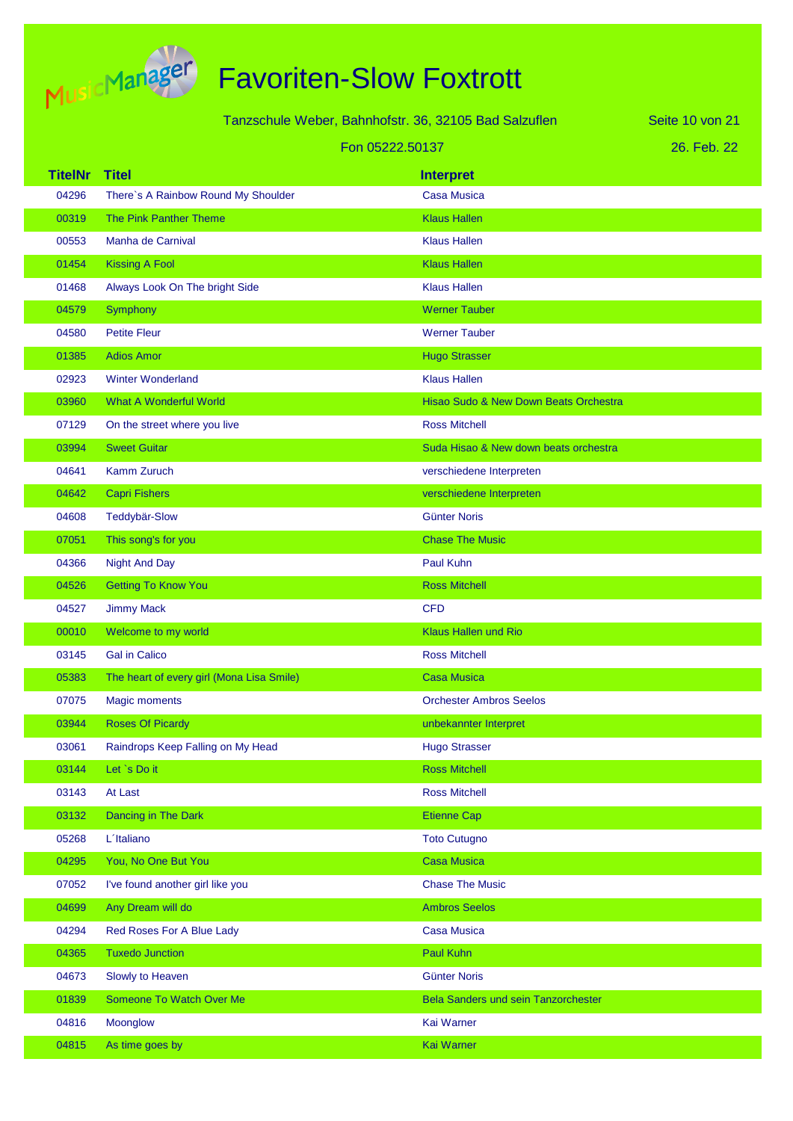

| Tanzschule Weber, Bahnhofstr. 36, 32105 Bad Salzuflen |                                           |                                       | Seite 10 von 21 |
|-------------------------------------------------------|-------------------------------------------|---------------------------------------|-----------------|
|                                                       | Fon 05222.50137                           |                                       | 26. Feb. 22     |
| <b>TitelNr</b>                                        | <b>Titel</b>                              | <b>Interpret</b>                      |                 |
| 04296                                                 | There's A Rainbow Round My Shoulder       | <b>Casa Musica</b>                    |                 |
| 00319                                                 | The Pink Panther Theme                    | <b>Klaus Hallen</b>                   |                 |
| 00553                                                 | Manha de Carnival                         | <b>Klaus Hallen</b>                   |                 |
| 01454                                                 | <b>Kissing A Fool</b>                     | <b>Klaus Hallen</b>                   |                 |
| 01468                                                 | Always Look On The bright Side            | <b>Klaus Hallen</b>                   |                 |
| 04579                                                 | Symphony                                  | <b>Werner Tauber</b>                  |                 |
| 04580                                                 | <b>Petite Fleur</b>                       | <b>Werner Tauber</b>                  |                 |
| 01385                                                 | <b>Adios Amor</b>                         | <b>Hugo Strasser</b>                  |                 |
| 02923                                                 | <b>Winter Wonderland</b>                  | <b>Klaus Hallen</b>                   |                 |
| 03960                                                 | <b>What A Wonderful World</b>             | Hisao Sudo & New Down Beats Orchestra |                 |
| 07129                                                 | On the street where you live              | <b>Ross Mitchell</b>                  |                 |
| 03994                                                 | <b>Sweet Guitar</b>                       | Suda Hisao & New down beats orchestra |                 |
| 04641                                                 | Kamm Zuruch                               | verschiedene Interpreten              |                 |
| 04642                                                 | <b>Capri Fishers</b>                      | verschiedene Interpreten              |                 |
| 04608                                                 | <b>Teddybär-Slow</b>                      | <b>Günter Noris</b>                   |                 |
| 07051                                                 | This song's for you                       | <b>Chase The Music</b>                |                 |
| 04366                                                 | <b>Night And Day</b>                      | Paul Kuhn                             |                 |
| 04526                                                 | <b>Getting To Know You</b>                | <b>Ross Mitchell</b>                  |                 |
| 04527                                                 | <b>Jimmy Mack</b>                         | <b>CFD</b>                            |                 |
| 00010                                                 | Welcome to my world                       | <b>Klaus Hallen und Rio</b>           |                 |
| 03145                                                 | <b>Gal in Calico</b>                      | <b>Ross Mitchell</b>                  |                 |
| 05383                                                 | The heart of every girl (Mona Lisa Smile) | <b>Casa Musica</b>                    |                 |
| 07075                                                 | <b>Magic moments</b>                      | <b>Orchester Ambros Seelos</b>        |                 |
| 03944                                                 | <b>Roses Of Picardy</b>                   | unbekannter Interpret                 |                 |
| 03061                                                 | Raindrops Keep Falling on My Head         | <b>Hugo Strasser</b>                  |                 |
| 03144                                                 | Let `s Do it                              | <b>Ross Mitchell</b>                  |                 |
| 03143                                                 | At Last                                   | <b>Ross Mitchell</b>                  |                 |
| 03132                                                 | Dancing in The Dark                       | <b>Etienne Cap</b>                    |                 |
| 05268                                                 | L'Italiano                                | <b>Toto Cutugno</b>                   |                 |
| 04295                                                 | You, No One But You                       | <b>Casa Musica</b>                    |                 |
| 07052                                                 | I've found another girl like you          | <b>Chase The Music</b>                |                 |
| 04699                                                 | Any Dream will do                         | <b>Ambros Seelos</b>                  |                 |
| 04294                                                 | Red Roses For A Blue Lady                 | <b>Casa Musica</b>                    |                 |
| 04365                                                 | <b>Tuxedo Junction</b>                    | Paul Kuhn                             |                 |
| 04673                                                 | Slowly to Heaven                          | <b>Günter Noris</b>                   |                 |
| 01839                                                 | Someone To Watch Over Me                  | Bela Sanders und sein Tanzorchester   |                 |
| 04816                                                 | Moonglow                                  | Kai Warner                            |                 |
| 04815                                                 | As time goes by                           | Kai Warner                            |                 |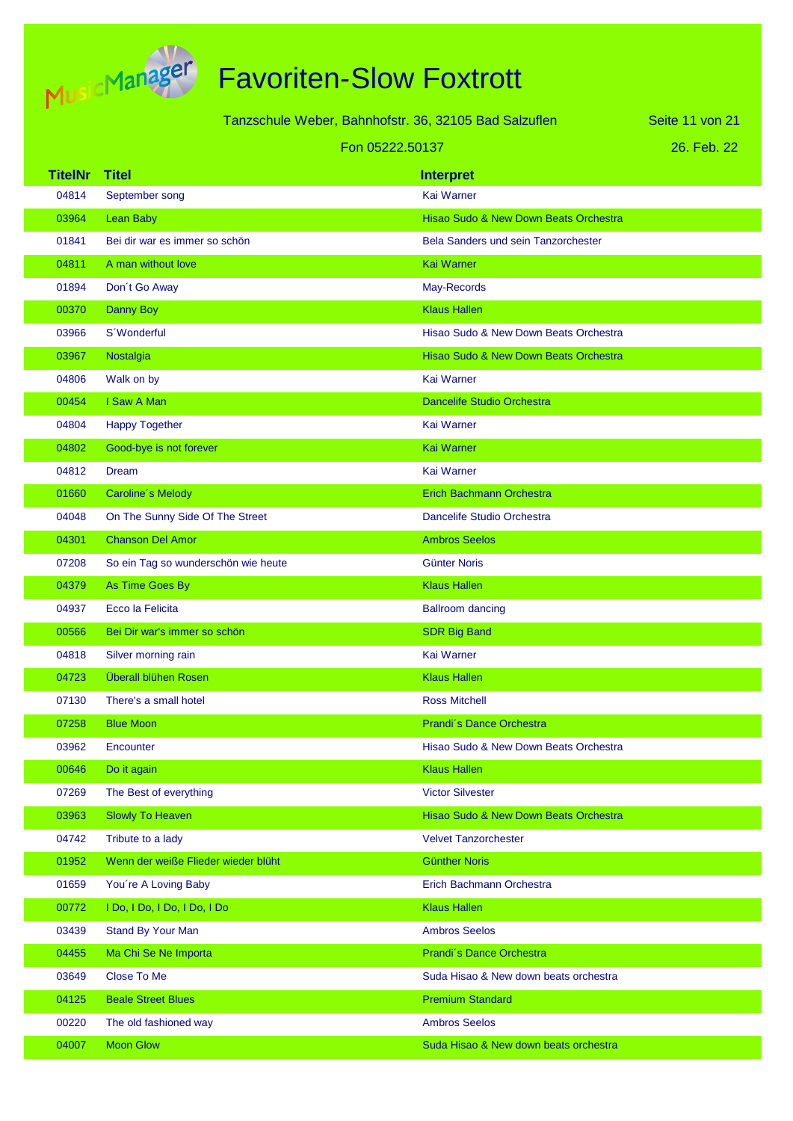

Tanzschule Weber, Bahnhofstr. 36, 32105 Bad Salzuflen Fon 05222.50137

26. Feb. 22 Seite 11 von 21

| <b>TitelNr</b> | <b>Titel</b>                        | <b>Interpret</b>                           |
|----------------|-------------------------------------|--------------------------------------------|
| 04814          | September song                      | Kai Warner                                 |
| 03964          | Lean Baby                           | Hisao Sudo & New Down Beats Orchestra      |
| 01841          | Bei dir war es immer so schön       | <b>Bela Sanders und sein Tanzorchester</b> |
| 04811          | A man without love                  | <b>Kai Warner</b>                          |
| 01894          | Don't Go Away                       | May-Records                                |
| 00370          | Danny Boy                           | <b>Klaus Hallen</b>                        |
| 03966          | S'Wonderful                         | Hisao Sudo & New Down Beats Orchestra      |
| 03967          | Nostalgia                           | Hisao Sudo & New Down Beats Orchestra      |
| 04806          | Walk on by                          | Kai Warner                                 |
| 00454          | I Saw A Man                         | <b>Dancelife Studio Orchestra</b>          |
| 04804          | <b>Happy Together</b>               | <b>Kai Warner</b>                          |
| 04802          | Good-bye is not forever             | <b>Kai Warner</b>                          |
| 04812          | <b>Dream</b>                        | Kai Warner                                 |
| 01660          | Caroline's Melody                   | <b>Erich Bachmann Orchestra</b>            |
| 04048          | On The Sunny Side Of The Street     | Dancelife Studio Orchestra                 |
| 04301          | <b>Chanson Del Amor</b>             | <b>Ambros Seelos</b>                       |
| 07208          | So ein Tag so wunderschön wie heute | <b>Günter Noris</b>                        |
| 04379          | As Time Goes By                     | <b>Klaus Hallen</b>                        |
| 04937          | Ecco la Felicita                    | <b>Ballroom dancing</b>                    |
| 00566          | Bei Dir war's immer so schön        | <b>SDR Big Band</b>                        |
| 04818          | Silver morning rain                 | Kai Warner                                 |
| 04723          | Überall blühen Rosen                | <b>Klaus Hallen</b>                        |
| 07130          | There's a small hotel               | <b>Ross Mitchell</b>                       |
| 07258          | <b>Blue Moon</b>                    | Prandi's Dance Orchestra                   |
| 03962          | Encounter                           | Hisao Sudo & New Down Beats Orchestra      |
| 00646          | Do it again                         | <b>Klaus Hallen</b>                        |
| 07269          | The Best of everything              | <b>Victor Silvester</b>                    |
| 03963          | <b>Slowly To Heaven</b>             | Hisao Sudo & New Down Beats Orchestra      |
| 04742          | Tribute to a lady                   | <b>Velvet Tanzorchester</b>                |
| 01952          | Wenn der weiße Flieder wieder blüht | <b>Günther Noris</b>                       |
| 01659          | You're A Loving Baby                | Erich Bachmann Orchestra                   |
| 00772          | I Do, I Do, I Do, I Do, I Do        | <b>Klaus Hallen</b>                        |
| 03439          | Stand By Your Man                   | <b>Ambros Seelos</b>                       |
| 04455          | Ma Chi Se Ne Importa                | Prandi's Dance Orchestra                   |
| 03649          | Close To Me                         | Suda Hisao & New down beats orchestra      |
| 04125          | <b>Beale Street Blues</b>           | <b>Premium Standard</b>                    |
| 00220          | The old fashioned way               | <b>Ambros Seelos</b>                       |
| 04007          | <b>Moon Glow</b>                    | Suda Hisao & New down beats orchestra      |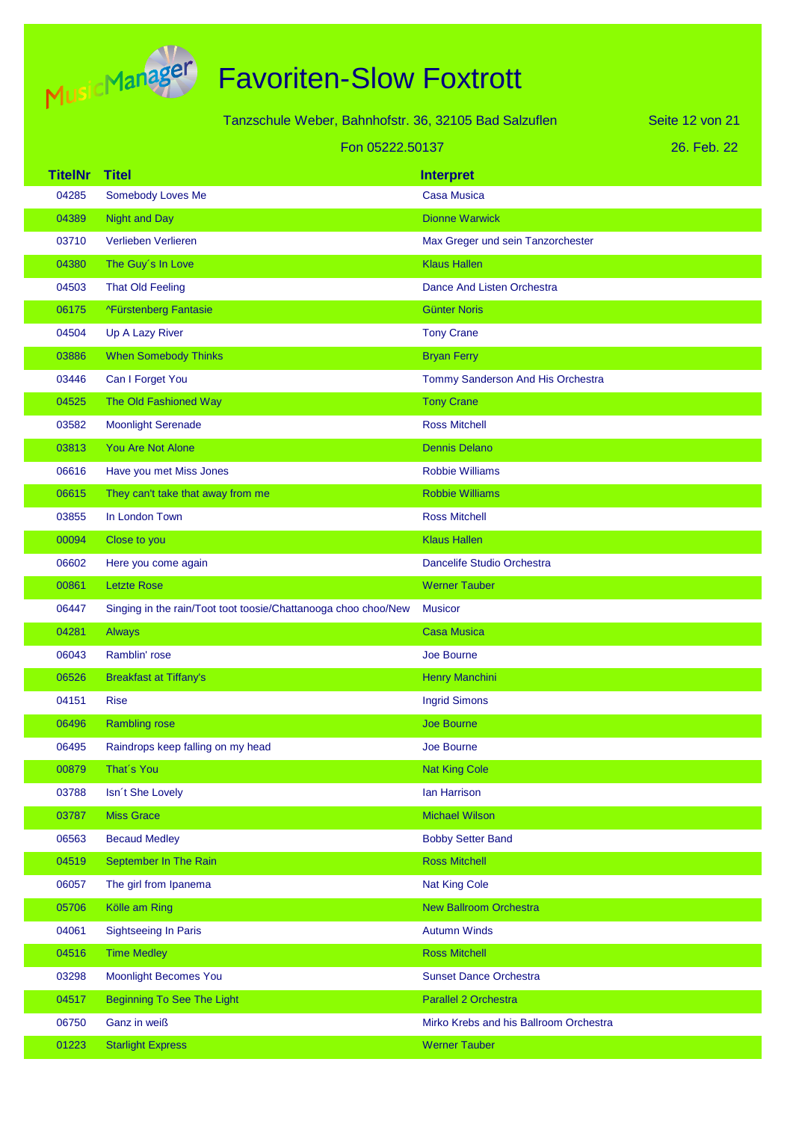

# Favoriten-Slow Foxtrott

|                | Tanzschule Weber, Bahnhofstr. 36, 32105 Bad Salzuflen<br>Seite 12 von 21 |                                        |             |
|----------------|--------------------------------------------------------------------------|----------------------------------------|-------------|
|                | Fon 05222.50137                                                          |                                        | 26. Feb. 22 |
| <b>TitelNr</b> | <b>Titel</b>                                                             | <b>Interpret</b>                       |             |
| 04285          | Somebody Loves Me                                                        | <b>Casa Musica</b>                     |             |
| 04389          | <b>Night and Day</b>                                                     | <b>Dionne Warwick</b>                  |             |
| 03710          | Verlieben Verlieren                                                      | Max Greger und sein Tanzorchester      |             |
| 04380          | The Guy's In Love                                                        | <b>Klaus Hallen</b>                    |             |
| 04503          | <b>That Old Feeling</b>                                                  | Dance And Listen Orchestra             |             |
| 06175          | ^Fürstenberg Fantasie                                                    | <b>Günter Noris</b>                    |             |
| 04504          | Up A Lazy River                                                          | <b>Tony Crane</b>                      |             |
| 03886          | <b>When Somebody Thinks</b>                                              | <b>Bryan Ferry</b>                     |             |
| 03446          | Can I Forget You                                                         | Tommy Sanderson And His Orchestra      |             |
| 04525          | The Old Fashioned Way                                                    | <b>Tony Crane</b>                      |             |
| 03582          | <b>Moonlight Serenade</b>                                                | <b>Ross Mitchell</b>                   |             |
| 03813          | <b>You Are Not Alone</b>                                                 | <b>Dennis Delano</b>                   |             |
| 06616          | Have you met Miss Jones                                                  | <b>Robbie Williams</b>                 |             |
| 06615          | They can't take that away from me                                        | <b>Robbie Williams</b>                 |             |
| 03855          | In London Town                                                           | <b>Ross Mitchell</b>                   |             |
| 00094          | Close to you                                                             | <b>Klaus Hallen</b>                    |             |
| 06602          | Here you come again                                                      | Dancelife Studio Orchestra             |             |
| 00861          | <b>Letzte Rose</b>                                                       | <b>Werner Tauber</b>                   |             |
| 06447          | Singing in the rain/Toot toot toosie/Chattanooga choo choo/New           | <b>Musicor</b>                         |             |
| 04281          | Always                                                                   | <b>Casa Musica</b>                     |             |
| 06043          | Ramblin' rose                                                            | Joe Bourne                             |             |
| 06526          | <b>Breakfast at Tiffany's</b>                                            | <b>Henry Manchini</b>                  |             |
| 04151          | Rise                                                                     | <b>Ingrid Simons</b>                   |             |
| 06496          | <b>Rambling rose</b>                                                     | <b>Joe Bourne</b>                      |             |
| 06495          | Raindrops keep falling on my head                                        | Joe Bourne                             |             |
| 00879          | That's You                                                               | <b>Nat King Cole</b>                   |             |
| 03788          | Isn't She Lovely                                                         | Ian Harrison                           |             |
| 03787          | <b>Miss Grace</b>                                                        | <b>Michael Wilson</b>                  |             |
| 06563          | <b>Becaud Medley</b>                                                     | <b>Bobby Setter Band</b>               |             |
| 04519          | September In The Rain                                                    | <b>Ross Mitchell</b>                   |             |
| 06057          | The girl from Ipanema                                                    | <b>Nat King Cole</b>                   |             |
| 05706          | Kölle am Ring                                                            | <b>New Ballroom Orchestra</b>          |             |
| 04061          | <b>Sightseeing In Paris</b>                                              | <b>Autumn Winds</b>                    |             |
| 04516          | <b>Time Medley</b>                                                       | <b>Ross Mitchell</b>                   |             |
| 03298          | <b>Moonlight Becomes You</b>                                             | <b>Sunset Dance Orchestra</b>          |             |
| 04517          | <b>Beginning To See The Light</b>                                        | Parallel 2 Orchestra                   |             |
| 06750          | Ganz in weiß                                                             | Mirko Krebs and his Ballroom Orchestra |             |

Starlight Express Werner Tauber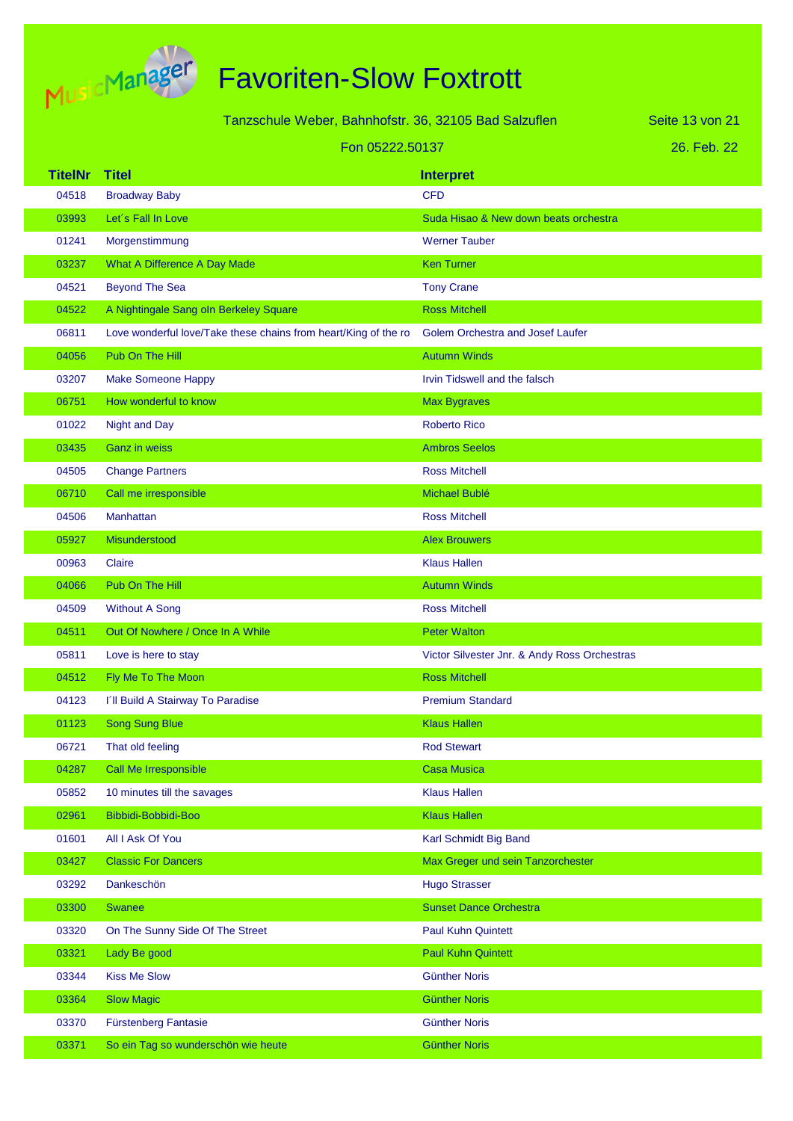

| Tanzschule Weber, Bahnhofstr. 36, 32105 Bad Salzuflen |                 |  |  |
|-------------------------------------------------------|-----------------|--|--|
|                                                       | Fon 05222.50137 |  |  |

26. Feb. 22 Seite 13 von 21

| <b>TitelNr</b> | <b>Titel</b>                                                    | <b>Interpret</b>                             |
|----------------|-----------------------------------------------------------------|----------------------------------------------|
| 04518          | <b>Broadway Baby</b>                                            | <b>CFD</b>                                   |
| 03993          | Let's Fall In Love                                              | Suda Hisao & New down beats orchestra        |
| 01241          | Morgenstimmung                                                  | <b>Werner Tauber</b>                         |
| 03237          | What A Difference A Day Made                                    | <b>Ken Turner</b>                            |
| 04521          | <b>Beyond The Sea</b>                                           | <b>Tony Crane</b>                            |
| 04522          | A Nightingale Sang oln Berkeley Square                          | <b>Ross Mitchell</b>                         |
| 06811          | Love wonderful love/Take these chains from heart/King of the ro | <b>Golem Orchestra and Josef Laufer</b>      |
| 04056          | Pub On The Hill                                                 | <b>Autumn Winds</b>                          |
| 03207          | <b>Make Someone Happy</b>                                       | Irvin Tidswell and the falsch                |
| 06751          | How wonderful to know                                           | <b>Max Bygraves</b>                          |
| 01022          | <b>Night and Day</b>                                            | <b>Roberto Rico</b>                          |
| 03435          | <b>Ganz</b> in weiss                                            | <b>Ambros Seelos</b>                         |
| 04505          | <b>Change Partners</b>                                          | <b>Ross Mitchell</b>                         |
| 06710          | Call me irresponsible                                           | <b>Michael Bublé</b>                         |
| 04506          | <b>Manhattan</b>                                                | <b>Ross Mitchell</b>                         |
| 05927          | Misunderstood                                                   | <b>Alex Brouwers</b>                         |
| 00963          | Claire                                                          | <b>Klaus Hallen</b>                          |
| 04066          | Pub On The Hill                                                 | <b>Autumn Winds</b>                          |
| 04509          | <b>Without A Song</b>                                           | <b>Ross Mitchell</b>                         |
| 04511          | Out Of Nowhere / Once In A While                                | <b>Peter Walton</b>                          |
| 05811          | Love is here to stay                                            | Victor Silvester Jnr. & Andy Ross Orchestras |
| 04512          | Fly Me To The Moon                                              | <b>Ross Mitchell</b>                         |
| 04123          | I'll Build A Stairway To Paradise                               | <b>Premium Standard</b>                      |
| 01123          | <b>Song Sung Blue</b>                                           | <b>Klaus Hallen</b>                          |
| 06721          | That old feeling                                                | <b>Rod Stewart</b>                           |
| 04287          | Call Me Irresponsible                                           | <b>Casa Musica</b>                           |
| 05852          | 10 minutes till the savages                                     | <b>Klaus Hallen</b>                          |
| 02961          | Bibbidi-Bobbidi-Boo                                             | <b>Klaus Hallen</b>                          |
| 01601          | All I Ask Of You                                                | Karl Schmidt Big Band                        |
| 03427          | <b>Classic For Dancers</b>                                      | Max Greger und sein Tanzorchester            |
| 03292          | Dankeschön                                                      | <b>Hugo Strasser</b>                         |
| 03300          | <b>Swanee</b>                                                   | <b>Sunset Dance Orchestra</b>                |
| 03320          | On The Sunny Side Of The Street                                 | <b>Paul Kuhn Quintett</b>                    |
| 03321          | Lady Be good                                                    | <b>Paul Kuhn Quintett</b>                    |
| 03344          | <b>Kiss Me Slow</b>                                             | <b>Günther Noris</b>                         |
| 03364          | <b>Slow Magic</b>                                               | <b>Günther Noris</b>                         |
| 03370          | <b>Fürstenberg Fantasie</b>                                     | <b>Günther Noris</b>                         |
| 03371          | So ein Tag so wunderschön wie heute                             | <b>Günther Noris</b>                         |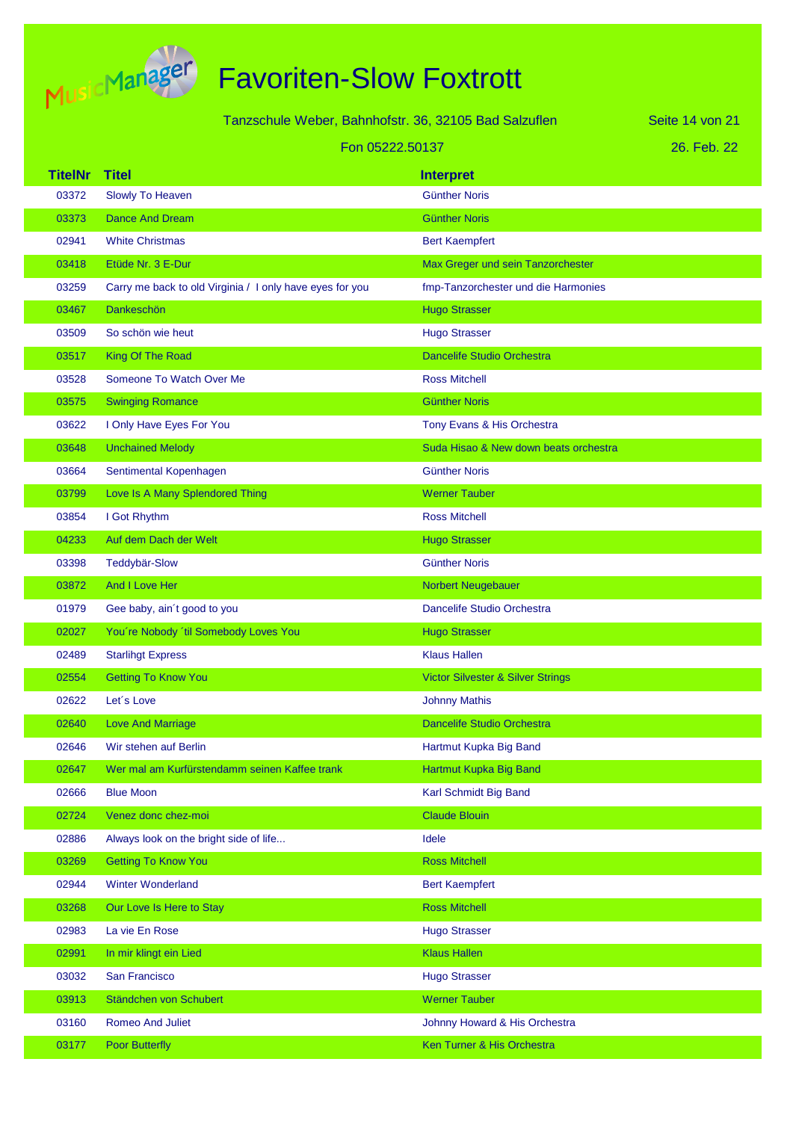

## Favoriten-Slow Foxtrott

|                | Tanzschule Weber, Bahnhofstr. 36, 32105 Bad Salzuflen<br>Seite 14 von 21 |                                       |             |
|----------------|--------------------------------------------------------------------------|---------------------------------------|-------------|
|                | Fon 05222.50137                                                          |                                       | 26. Feb. 22 |
| <b>TitelNr</b> | <b>Titel</b>                                                             | <b>Interpret</b>                      |             |
| 03372          | Slowly To Heaven                                                         | <b>Günther Noris</b>                  |             |
| 03373          | <b>Dance And Dream</b>                                                   | <b>Günther Noris</b>                  |             |
| 02941          | <b>White Christmas</b>                                                   | <b>Bert Kaempfert</b>                 |             |
| 03418          | Etüde Nr. 3 E-Dur                                                        | Max Greger und sein Tanzorchester     |             |
| 03259          | Carry me back to old Virginia / I only have eyes for you                 | fmp-Tanzorchester und die Harmonies   |             |
| 03467          | <b>Dankeschön</b>                                                        | <b>Hugo Strasser</b>                  |             |
| 03509          | So schön wie heut                                                        | <b>Hugo Strasser</b>                  |             |
| 03517          | King Of The Road                                                         | <b>Dancelife Studio Orchestra</b>     |             |
| 03528          | Someone To Watch Over Me                                                 | <b>Ross Mitchell</b>                  |             |
| 03575          | <b>Swinging Romance</b>                                                  | <b>Günther Noris</b>                  |             |
| 03622          | I Only Have Eyes For You                                                 | Tony Evans & His Orchestra            |             |
| 03648          | <b>Unchained Melody</b>                                                  | Suda Hisao & New down beats orchestra |             |
| 03664          | Sentimental Kopenhagen                                                   | <b>Günther Noris</b>                  |             |
| 03799          | Love Is A Many Splendored Thing                                          | <b>Werner Tauber</b>                  |             |
| 03854          | I Got Rhythm                                                             | <b>Ross Mitchell</b>                  |             |
| 04233          | Auf dem Dach der Welt                                                    | <b>Hugo Strasser</b>                  |             |
| 03398          | <b>Teddybär-Slow</b>                                                     | <b>Günther Noris</b>                  |             |
| 03872          | And I Love Her                                                           | Norbert Neugebauer                    |             |
| 01979          | Gee baby, ain't good to you                                              | Dancelife Studio Orchestra            |             |
| 02027          | You're Nobody 'til Somebody Loves You                                    | <b>Hugo Strasser</b>                  |             |
| 02489          | <b>Starlingt Express</b>                                                 | <b>Klaus Hallen</b>                   |             |
| 02554          | <b>Getting To Know You</b>                                               | Victor Silvester & Silver Strings     |             |
| 02622          | Let's Love                                                               | <b>Johnny Mathis</b>                  |             |
| 02640          | <b>Love And Marriage</b>                                                 | <b>Dancelife Studio Orchestra</b>     |             |
| 02646          | Wir stehen auf Berlin                                                    | Hartmut Kupka Big Band                |             |
| 02647          | Wer mal am Kurfürstendamm seinen Kaffee trank                            | Hartmut Kupka Big Band                |             |
| 02666          | <b>Blue Moon</b>                                                         | Karl Schmidt Big Band                 |             |
| 02724          | Venez donc chez-moi                                                      | <b>Claude Blouin</b>                  |             |
| 02886          | Always look on the bright side of life                                   | Idele                                 |             |
| 03269          | <b>Getting To Know You</b>                                               | <b>Ross Mitchell</b>                  |             |
| 02944          | <b>Winter Wonderland</b>                                                 | <b>Bert Kaempfert</b>                 |             |
| 03268          | Our Love Is Here to Stay                                                 | <b>Ross Mitchell</b>                  |             |
| 02983          | La vie En Rose                                                           | <b>Hugo Strasser</b>                  |             |
| 02991          | In mir klingt ein Lied                                                   | <b>Klaus Hallen</b>                   |             |
| 03032          | San Francisco                                                            | <b>Hugo Strasser</b>                  |             |
| 03913          | Ständchen von Schubert                                                   | <b>Werner Tauber</b>                  |             |
| 03160          | <b>Romeo And Juliet</b>                                                  | Johnny Howard & His Orchestra         |             |

03177 Poor Butterfly **Community** Control of the Community Community Ren Turner & His Orchestra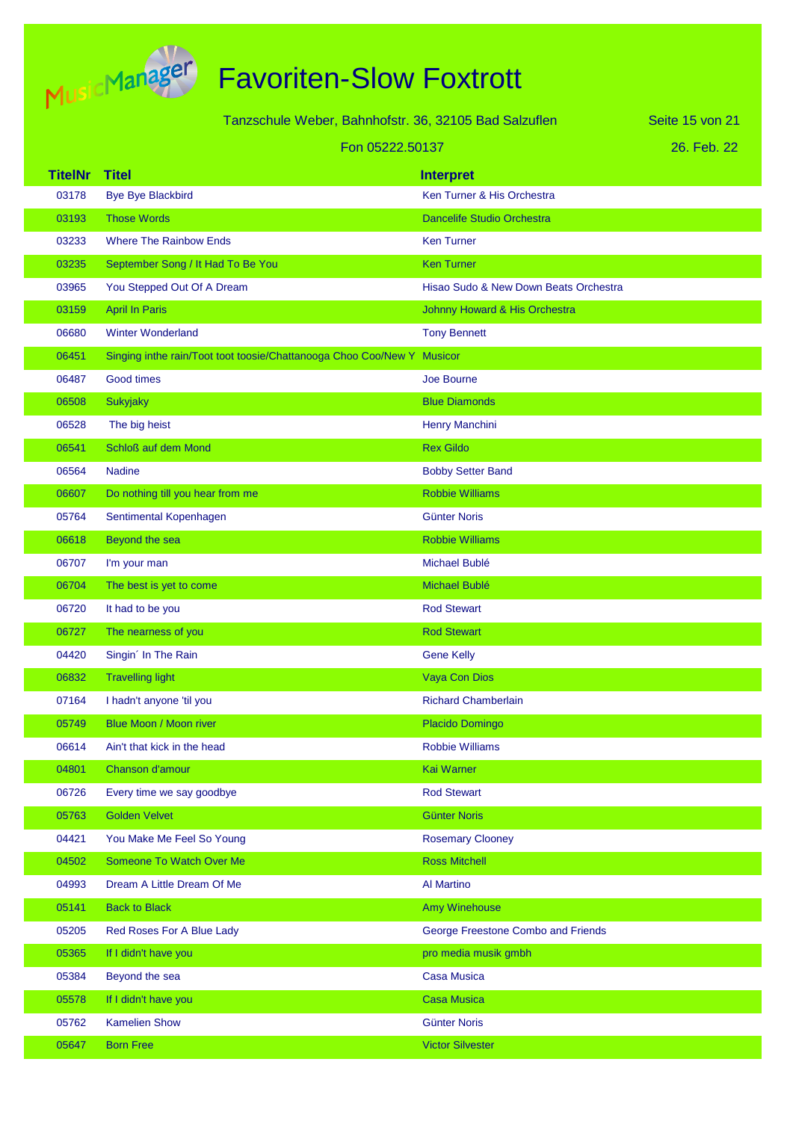

| Tanzschule Weber, Bahnhofstr. 36, 32105 Bad Salzuflen |                                                                | Seite 15 von 21                       |             |
|-------------------------------------------------------|----------------------------------------------------------------|---------------------------------------|-------------|
|                                                       | Fon 05222.50137                                                |                                       | 26. Feb. 22 |
| <b>TitelNr</b>                                        | <b>Titel</b>                                                   | <b>Interpret</b>                      |             |
| 03178                                                 | <b>Bye Bye Blackbird</b>                                       | Ken Turner & His Orchestra            |             |
| 03193                                                 | <b>Those Words</b>                                             | <b>Dancelife Studio Orchestra</b>     |             |
| 03233                                                 | <b>Where The Rainbow Ends</b>                                  | <b>Ken Turner</b>                     |             |
| 03235                                                 | September Song / It Had To Be You                              | <b>Ken Turner</b>                     |             |
| 03965                                                 | You Stepped Out Of A Dream                                     | Hisao Sudo & New Down Beats Orchestra |             |
| 03159                                                 | <b>April In Paris</b>                                          | Johnny Howard & His Orchestra         |             |
| 06680                                                 | <b>Winter Wonderland</b>                                       | <b>Tony Bennett</b>                   |             |
| 06451                                                 | Singing inthe rain/Toot toot toosie/Chattanooga Choo Coo/New Y | <b>Musicor</b>                        |             |
| 06487                                                 | Good times                                                     | Joe Bourne                            |             |
| 06508                                                 | <b>Sukyjaky</b>                                                | <b>Blue Diamonds</b>                  |             |
| 06528                                                 | The big heist                                                  | Henry Manchini                        |             |
| 06541                                                 | Schloß auf dem Mond                                            | <b>Rex Gildo</b>                      |             |
| 06564                                                 | <b>Nadine</b>                                                  | <b>Bobby Setter Band</b>              |             |
| 06607                                                 | Do nothing till you hear from me                               | <b>Robbie Williams</b>                |             |
| 05764                                                 | Sentimental Kopenhagen                                         | Günter Noris                          |             |
| 06618                                                 | Beyond the sea                                                 | <b>Robbie Williams</b>                |             |
| 06707                                                 | I'm your man                                                   | Michael Bublé                         |             |
| 06704                                                 | The best is yet to come                                        | Michael Bublé                         |             |
| 06720                                                 | It had to be you                                               | <b>Rod Stewart</b>                    |             |
| 06727                                                 | The nearness of you                                            | <b>Rod Stewart</b>                    |             |
| 04420                                                 | Singin' In The Rain                                            | <b>Gene Kelly</b>                     |             |
| 06832                                                 | <b>Travelling light</b>                                        | <b>Vaya Con Dios</b>                  |             |
| 07164                                                 | I hadn't anyone 'til you                                       | <b>Richard Chamberlain</b>            |             |
| 05749                                                 | Blue Moon / Moon river                                         | Placido Domingo                       |             |
| 06614                                                 | Ain't that kick in the head                                    | <b>Robbie Williams</b>                |             |
| 04801                                                 | Chanson d'amour                                                | Kai Warner                            |             |
| 06726                                                 | Every time we say goodbye                                      | <b>Rod Stewart</b>                    |             |
| 05763                                                 | <b>Golden Velvet</b>                                           | <b>Günter Noris</b>                   |             |
| 04421                                                 | You Make Me Feel So Young                                      | <b>Rosemary Clooney</b>               |             |
| 04502                                                 | Someone To Watch Over Me                                       | <b>Ross Mitchell</b>                  |             |
| 04993                                                 | Dream A Little Dream Of Me                                     | <b>Al Martino</b>                     |             |
| 05141                                                 | <b>Back to Black</b>                                           | Amy Winehouse                         |             |
| 05205                                                 | Red Roses For A Blue Lady                                      | George Freestone Combo and Friends    |             |
| 05365                                                 | If I didn't have you                                           | pro media musik gmbh                  |             |
| 05384                                                 | Beyond the sea                                                 | <b>Casa Musica</b>                    |             |
| 05578                                                 | If I didn't have you                                           | <b>Casa Musica</b>                    |             |
| 05762                                                 | <b>Kamelien Show</b>                                           | <b>Günter Noris</b>                   |             |
| 05647                                                 | <b>Born Free</b>                                               | <b>Victor Silvester</b>               |             |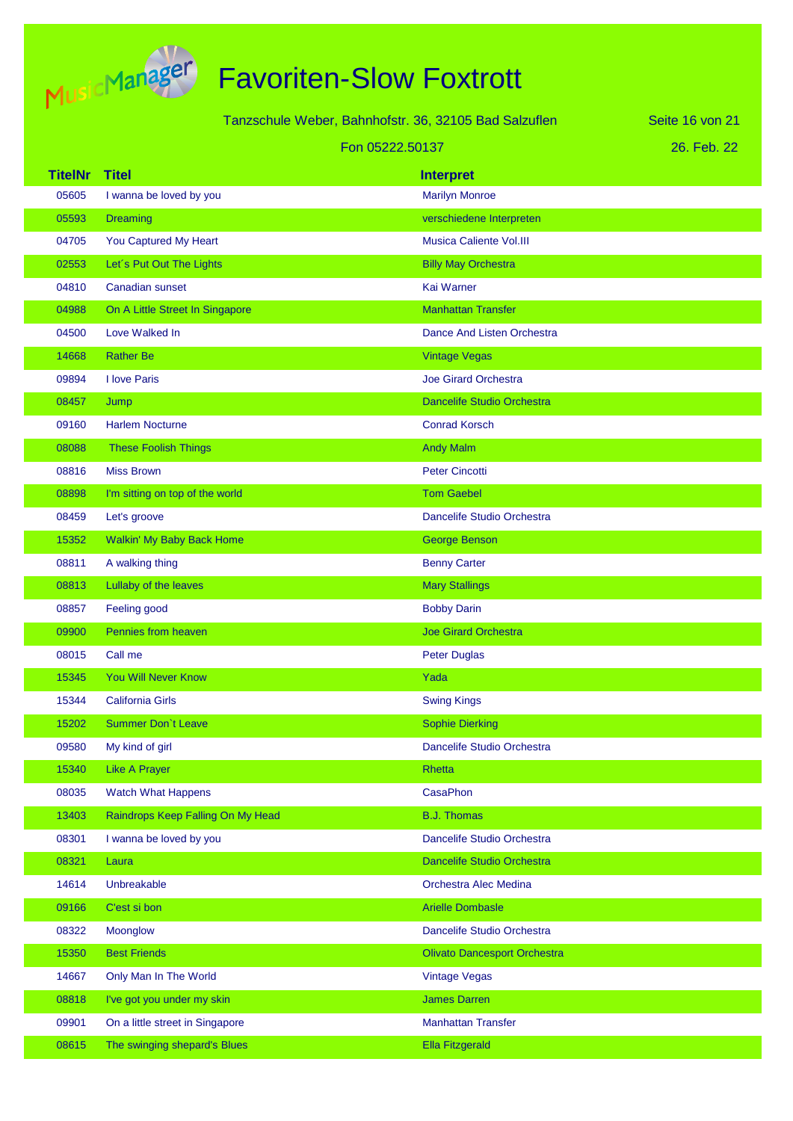

| Tanzschule Weber, Bahnhofstr. 36, 32105 Bad Salzuflen |                                   | Seite 16 von 21                     |  |
|-------------------------------------------------------|-----------------------------------|-------------------------------------|--|
|                                                       |                                   | Fon 05222.50137                     |  |
| <b>TitelNr</b>                                        | <b>Titel</b>                      | <b>Interpret</b>                    |  |
| 05605                                                 | I wanna be loved by you           | <b>Marilyn Monroe</b>               |  |
| 05593                                                 | <b>Dreaming</b>                   | verschiedene Interpreten            |  |
| 04705                                                 | You Captured My Heart             | <b>Musica Caliente Vol.III</b>      |  |
| 02553                                                 | Let's Put Out The Lights          | <b>Billy May Orchestra</b>          |  |
| 04810                                                 | Canadian sunset                   | <b>Kai Warner</b>                   |  |
| 04988                                                 | On A Little Street In Singapore   | <b>Manhattan Transfer</b>           |  |
| 04500                                                 | Love Walked In                    | Dance And Listen Orchestra          |  |
| 14668                                                 | <b>Rather Be</b>                  | <b>Vintage Vegas</b>                |  |
| 09894                                                 | I love Paris                      | <b>Joe Girard Orchestra</b>         |  |
| 08457                                                 | Jump                              | <b>Dancelife Studio Orchestra</b>   |  |
| 09160                                                 | <b>Harlem Nocturne</b>            | <b>Conrad Korsch</b>                |  |
| 08088                                                 | <b>These Foolish Things</b>       | <b>Andy Malm</b>                    |  |
| 08816                                                 | <b>Miss Brown</b>                 | <b>Peter Cincotti</b>               |  |
| 08898                                                 | I'm sitting on top of the world   | <b>Tom Gaebel</b>                   |  |
| 08459                                                 | Let's groove                      | Dancelife Studio Orchestra          |  |
| 15352                                                 | <b>Walkin' My Baby Back Home</b>  | <b>George Benson</b>                |  |
| 08811                                                 | A walking thing                   | <b>Benny Carter</b>                 |  |
| 08813                                                 | Lullaby of the leaves             | <b>Mary Stallings</b>               |  |
| 08857                                                 | Feeling good                      | <b>Bobby Darin</b>                  |  |
| 09900                                                 | Pennies from heaven               | <b>Joe Girard Orchestra</b>         |  |
| 08015                                                 | Call me                           | <b>Peter Duglas</b>                 |  |
| 15345                                                 | <b>You Will Never Know</b>        | Yada                                |  |
| 15344                                                 | <b>California Girls</b>           | <b>Swing Kings</b>                  |  |
| 15202                                                 | Summer Don't Leave                | <b>Sophie Dierking</b>              |  |
| 09580                                                 | My kind of girl                   | Dancelife Studio Orchestra          |  |
| 15340                                                 | <b>Like A Prayer</b>              | <b>Rhetta</b>                       |  |
| 08035                                                 | <b>Watch What Happens</b>         | CasaPhon                            |  |
| 13403                                                 | Raindrops Keep Falling On My Head | <b>B.J. Thomas</b>                  |  |
| 08301                                                 | I wanna be loved by you           | Dancelife Studio Orchestra          |  |
| 08321                                                 | Laura                             | Dancelife Studio Orchestra          |  |
| 14614                                                 | Unbreakable                       | Orchestra Alec Medina               |  |
| 09166                                                 | C'est si bon                      | <b>Arielle Dombasle</b>             |  |
| 08322                                                 | Moonglow                          | Dancelife Studio Orchestra          |  |
| 15350                                                 | <b>Best Friends</b>               | <b>Olivato Dancesport Orchestra</b> |  |
| 14667                                                 | Only Man In The World             | <b>Vintage Vegas</b>                |  |
| 08818                                                 | I've got you under my skin        | <b>James Darren</b>                 |  |
| 09901                                                 | On a little street in Singapore   | <b>Manhattan Transfer</b>           |  |
| 08615                                                 | The swinging shepard's Blues      | <b>Ella Fitzgerald</b>              |  |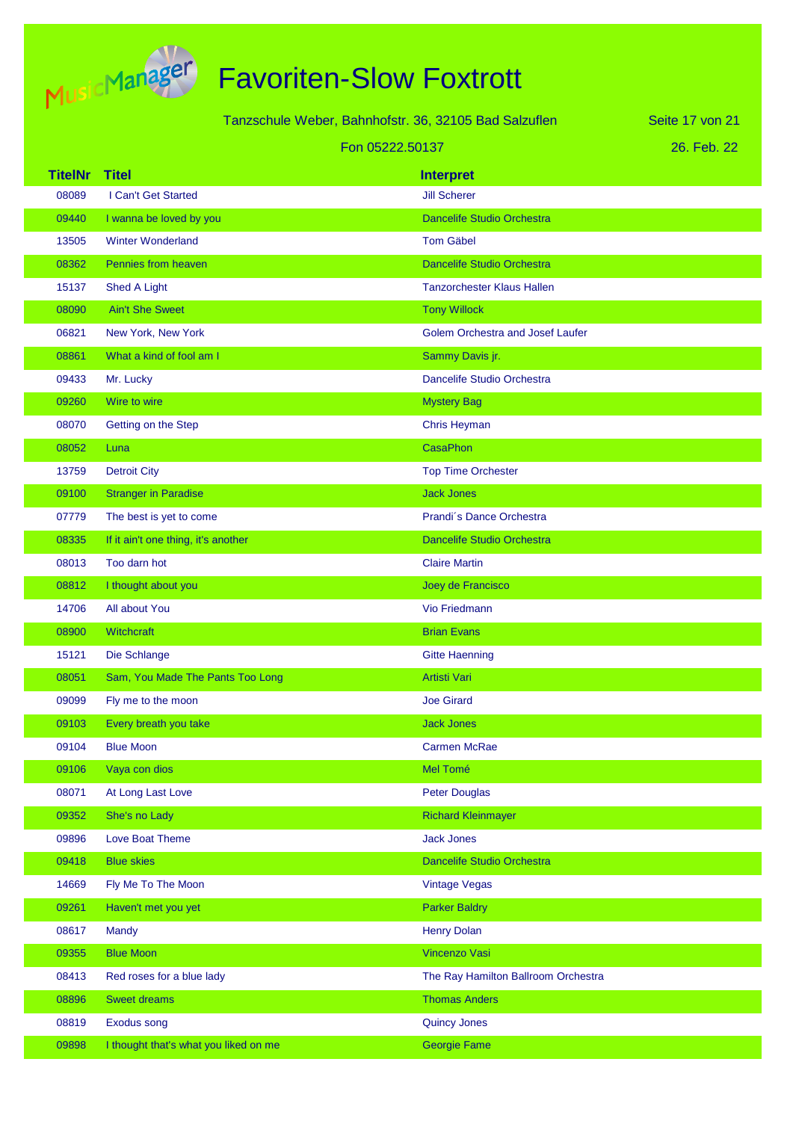

| Tanzschule Weber, Bahnhofstr. 36, 32105 Bad Salzuflen |                                       | Seite 17 von 21                         |             |
|-------------------------------------------------------|---------------------------------------|-----------------------------------------|-------------|
|                                                       |                                       | Fon 05222.50137                         | 26. Feb. 22 |
| <b>TitelNr</b>                                        | <b>Titel</b>                          | <b>Interpret</b>                        |             |
| 08089                                                 | I Can't Get Started                   | <b>Jill Scherer</b>                     |             |
| 09440                                                 | I wanna be loved by you               | <b>Dancelife Studio Orchestra</b>       |             |
| 13505                                                 | <b>Winter Wonderland</b>              | <b>Tom Gäbel</b>                        |             |
| 08362                                                 | Pennies from heaven                   | <b>Dancelife Studio Orchestra</b>       |             |
| 15137                                                 | Shed A Light                          | <b>Tanzorchester Klaus Hallen</b>       |             |
| 08090                                                 | <b>Ain't She Sweet</b>                | <b>Tony Willock</b>                     |             |
| 06821                                                 | New York, New York                    | <b>Golem Orchestra and Josef Laufer</b> |             |
| 08861                                                 | What a kind of fool am I              | Sammy Davis jr.                         |             |
| 09433                                                 | Mr. Lucky                             | Dancelife Studio Orchestra              |             |
| 09260                                                 | Wire to wire                          | <b>Mystery Bag</b>                      |             |
| 08070                                                 | Getting on the Step                   | Chris Heyman                            |             |
| 08052                                                 | Luna                                  | <b>CasaPhon</b>                         |             |
| 13759                                                 | <b>Detroit City</b>                   | <b>Top Time Orchester</b>               |             |
| 09100                                                 | <b>Stranger in Paradise</b>           | <b>Jack Jones</b>                       |             |
| 07779                                                 | The best is yet to come               | Prandi's Dance Orchestra                |             |
| 08335                                                 | If it ain't one thing, it's another   | <b>Dancelife Studio Orchestra</b>       |             |
| 08013                                                 | Too darn hot                          | <b>Claire Martin</b>                    |             |
| 08812                                                 | I thought about you                   | Joey de Francisco                       |             |
| 14706                                                 | All about You                         | Vio Friedmann                           |             |
| 08900                                                 | Witchcraft                            | <b>Brian Evans</b>                      |             |
| 15121                                                 | Die Schlange                          | <b>Gitte Haenning</b>                   |             |
| 08051                                                 | Sam, You Made The Pants Too Long      | Artisti Vari                            |             |
| 09099                                                 | Fly me to the moon                    | <b>Joe Girard</b>                       |             |
| 09103                                                 | Every breath you take                 | <b>Jack Jones</b>                       |             |
| 09104                                                 | <b>Blue Moon</b>                      | <b>Carmen McRae</b>                     |             |
| 09106                                                 | Vaya con dios                         | Mel Tomé                                |             |
| 08071                                                 | At Long Last Love                     | <b>Peter Douglas</b>                    |             |
| 09352                                                 | She's no Lady                         | <b>Richard Kleinmayer</b>               |             |
| 09896                                                 | Love Boat Theme                       | <b>Jack Jones</b>                       |             |
| 09418                                                 | <b>Blue skies</b>                     | <b>Dancelife Studio Orchestra</b>       |             |
| 14669                                                 | Fly Me To The Moon                    | <b>Vintage Vegas</b>                    |             |
| 09261                                                 | Haven't met you yet                   | <b>Parker Baldry</b>                    |             |
| 08617                                                 | Mandy                                 | <b>Henry Dolan</b>                      |             |
| 09355                                                 | <b>Blue Moon</b>                      | Vincenzo Vasi                           |             |
| 08413                                                 | Red roses for a blue lady             | The Ray Hamilton Ballroom Orchestra     |             |
| 08896                                                 | <b>Sweet dreams</b>                   | <b>Thomas Anders</b>                    |             |
| 08819                                                 | <b>Exodus song</b>                    | <b>Quincy Jones</b>                     |             |
| 09898                                                 | I thought that's what you liked on me | <b>Georgie Fame</b>                     |             |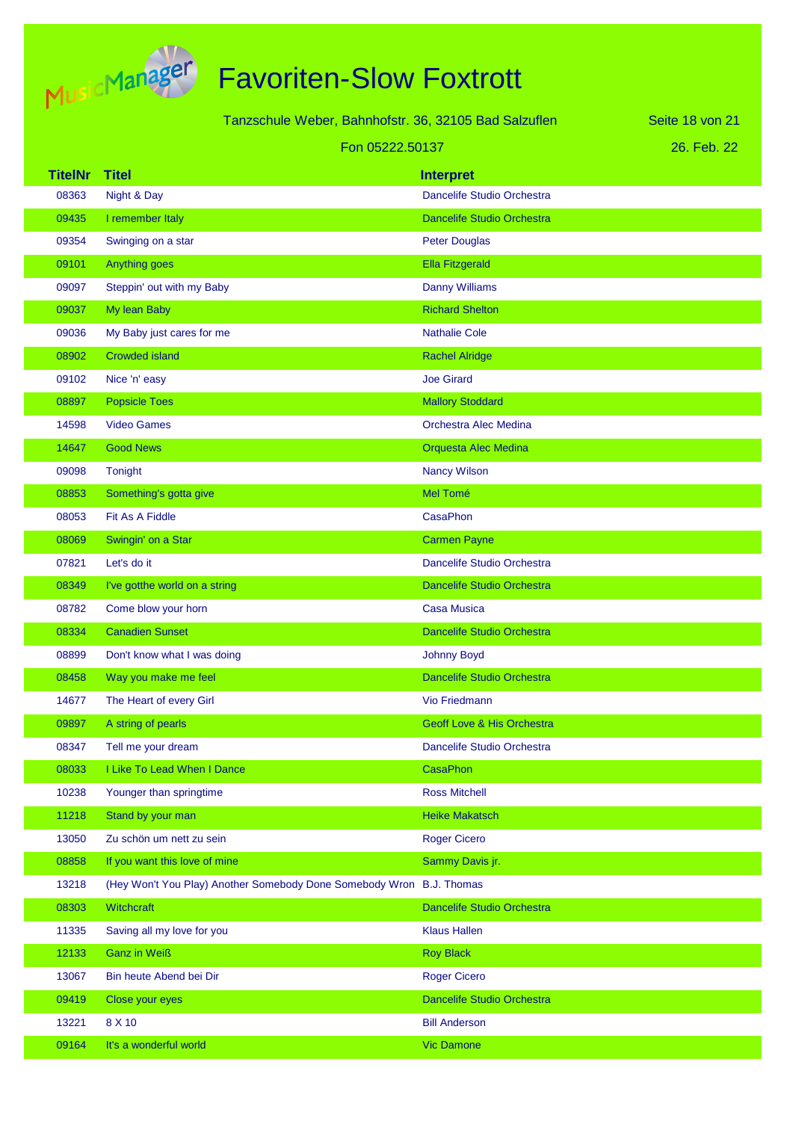

| Tanzschule Weber, Bahnhofstr. 36, 32105 Bad Salzuflen |                |                                                                      | Seite 18 von 21                   |             |
|-------------------------------------------------------|----------------|----------------------------------------------------------------------|-----------------------------------|-------------|
|                                                       |                | Fon 05222.50137                                                      |                                   | 26. Feb. 22 |
|                                                       | <b>TitelNr</b> | <b>Titel</b>                                                         | <b>Interpret</b>                  |             |
|                                                       | 08363          | Night & Day                                                          | Dancelife Studio Orchestra        |             |
|                                                       | 09435          | I remember Italy                                                     | <b>Dancelife Studio Orchestra</b> |             |
|                                                       | 09354          | Swinging on a star                                                   | <b>Peter Douglas</b>              |             |
|                                                       | 09101          | Anything goes                                                        | <b>Ella Fitzgerald</b>            |             |
|                                                       | 09097          | Steppin' out with my Baby                                            | <b>Danny Williams</b>             |             |
|                                                       | 09037          | My lean Baby                                                         | <b>Richard Shelton</b>            |             |
|                                                       | 09036          | My Baby just cares for me                                            | <b>Nathalie Cole</b>              |             |
|                                                       | 08902          | <b>Crowded island</b>                                                | <b>Rachel Alridge</b>             |             |
|                                                       | 09102          | Nice 'n' easy                                                        | <b>Joe Girard</b>                 |             |
|                                                       | 08897          | <b>Popsicle Toes</b>                                                 | <b>Mallory Stoddard</b>           |             |
|                                                       | 14598          | <b>Video Games</b>                                                   | Orchestra Alec Medina             |             |
|                                                       | 14647          | <b>Good News</b>                                                     | Orquesta Alec Medina              |             |
|                                                       | 09098          | Tonight                                                              | <b>Nancy Wilson</b>               |             |
|                                                       | 08853          | Something's gotta give                                               | Mel Tomé                          |             |
|                                                       | 08053          | Fit As A Fiddle                                                      | CasaPhon                          |             |
|                                                       | 08069          | Swingin' on a Star                                                   | <b>Carmen Payne</b>               |             |
|                                                       | 07821          | Let's do it                                                          | Dancelife Studio Orchestra        |             |
|                                                       | 08349          | I've gotthe world on a string                                        | <b>Dancelife Studio Orchestra</b> |             |
|                                                       | 08782          | Come blow your horn                                                  | <b>Casa Musica</b>                |             |
|                                                       | 08334          | <b>Canadien Sunset</b>                                               | Dancelife Studio Orchestra        |             |
|                                                       | 08899          | Don't know what I was doing                                          | <b>Johnny Boyd</b>                |             |
|                                                       | 08458          | Way you make me feel                                                 | <b>Dancelife Studio Orchestra</b> |             |
|                                                       | 14677          | The Heart of every Girl                                              | <b>Vio Friedmann</b>              |             |
|                                                       | 09897          | A string of pearls                                                   | Geoff Love & His Orchestra        |             |
|                                                       | 08347          | Tell me your dream                                                   | Dancelife Studio Orchestra        |             |
|                                                       | 08033          | I Like To Lead When I Dance                                          | CasaPhon                          |             |
|                                                       | 10238          | Younger than springtime                                              | <b>Ross Mitchell</b>              |             |
|                                                       | 11218          | Stand by your man                                                    | <b>Heike Makatsch</b>             |             |
|                                                       | 13050          | Zu schön um nett zu sein                                             | <b>Roger Cicero</b>               |             |
|                                                       | 08858          | If you want this love of mine                                        | Sammy Davis jr.                   |             |
|                                                       | 13218          | (Hey Won't You Play) Another Somebody Done Somebody Wron B.J. Thomas |                                   |             |
|                                                       | 08303          | Witchcraft                                                           | Dancelife Studio Orchestra        |             |
|                                                       | 11335          | Saving all my love for you                                           | <b>Klaus Hallen</b>               |             |
|                                                       | 12133          | <b>Ganz in Weiß</b>                                                  | <b>Roy Black</b>                  |             |
|                                                       | 13067          | Bin heute Abend bei Dir                                              | <b>Roger Cicero</b>               |             |
|                                                       | 09419          | Close your eyes                                                      | Dancelife Studio Orchestra        |             |
|                                                       | 13221          | 8 X 10                                                               | <b>Bill Anderson</b>              |             |
|                                                       | 09164          | It's a wonderful world                                               | <b>Vic Damone</b>                 |             |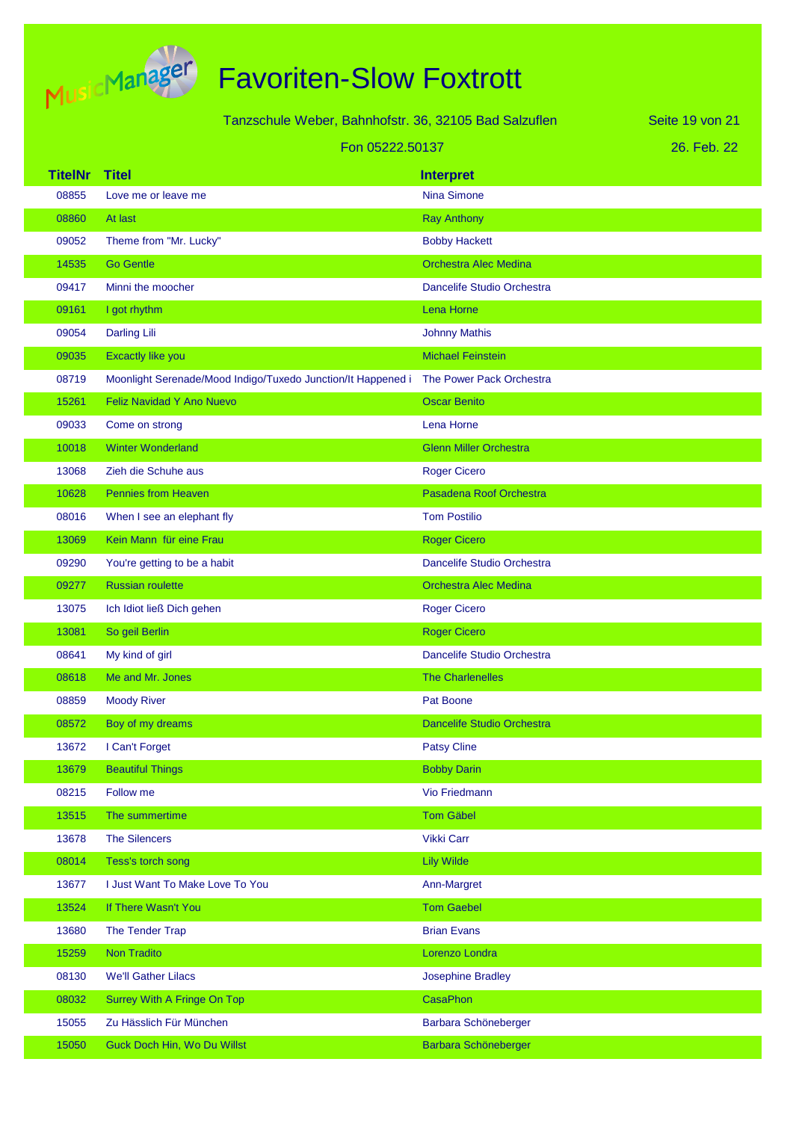

| Tanzschule Weber, Bahnhofstr. 36, 32105 Bad Salzuflen |                                                              |                               | Seite 19 von 21 |
|-------------------------------------------------------|--------------------------------------------------------------|-------------------------------|-----------------|
|                                                       | Fon 05222.50137                                              |                               | 26. Feb. 22     |
| <b>TitelNr</b>                                        | <b>Titel</b>                                                 | <b>Interpret</b>              |                 |
| 08855                                                 | Love me or leave me                                          | <b>Nina Simone</b>            |                 |
| 08860                                                 | At last                                                      | <b>Ray Anthony</b>            |                 |
| 09052                                                 | Theme from "Mr. Lucky"                                       | <b>Bobby Hackett</b>          |                 |
| 14535                                                 | <b>Go Gentle</b>                                             | <b>Orchestra Alec Medina</b>  |                 |
| 09417                                                 | Minni the moocher                                            | Dancelife Studio Orchestra    |                 |
| 09161                                                 | I got rhythm                                                 | Lena Horne                    |                 |
| 09054                                                 | <b>Darling Lili</b>                                          | <b>Johnny Mathis</b>          |                 |
| 09035                                                 | <b>Excactly like you</b>                                     | <b>Michael Feinstein</b>      |                 |
| 08719                                                 | Moonlight Serenade/Mood Indigo/Tuxedo Junction/It Happened i | The Power Pack Orchestra      |                 |
| 15261                                                 | Feliz Navidad Y Ano Nuevo                                    | <b>Oscar Benito</b>           |                 |
| 09033                                                 | Come on strong                                               | Lena Horne                    |                 |
| 10018                                                 | <b>Winter Wonderland</b>                                     | <b>Glenn Miller Orchestra</b> |                 |
| 13068                                                 | Zieh die Schuhe aus                                          | <b>Roger Cicero</b>           |                 |
| 10628                                                 | <b>Pennies from Heaven</b>                                   | Pasadena Roof Orchestra       |                 |
| 08016                                                 | When I see an elephant fly                                   | <b>Tom Postilio</b>           |                 |
| 13069                                                 | Kein Mann für eine Frau                                      | <b>Roger Cicero</b>           |                 |
| 09290                                                 | You're getting to be a habit                                 | Dancelife Studio Orchestra    |                 |
| 09277                                                 | <b>Russian roulette</b>                                      | <b>Orchestra Alec Medina</b>  |                 |
| 13075                                                 | Ich Idiot ließ Dich gehen                                    | <b>Roger Cicero</b>           |                 |
| 13081                                                 | So geil Berlin                                               | <b>Roger Cicero</b>           |                 |
| 08641                                                 | My kind of girl                                              | Dancelife Studio Orchestra    |                 |
| 08618                                                 | Me and Mr. Jones                                             | <b>The Charlenelles</b>       |                 |
| 08859                                                 | <b>Moody River</b>                                           | Pat Boone                     |                 |
| 08572                                                 | Boy of my dreams                                             | Dancelife Studio Orchestra    |                 |
| 13672                                                 | I Can't Forget                                               | <b>Patsy Cline</b>            |                 |
| 13679                                                 | <b>Beautiful Things</b>                                      | <b>Bobby Darin</b>            |                 |
| 08215                                                 | Follow me                                                    | Vio Friedmann                 |                 |
| 13515                                                 | The summertime                                               | <b>Tom Gäbel</b>              |                 |
| 13678                                                 | <b>The Silencers</b>                                         | <b>Vikki Carr</b>             |                 |
| 08014                                                 | Tess's torch song                                            | <b>Lily Wilde</b>             |                 |
| 13677                                                 | I Just Want To Make Love To You                              | Ann-Margret                   |                 |
| 13524                                                 | If There Wasn't You                                          | <b>Tom Gaebel</b>             |                 |
| 13680                                                 | The Tender Trap                                              | <b>Brian Evans</b>            |                 |
| 15259                                                 | <b>Non Tradito</b>                                           | Lorenzo Londra                |                 |
| 08130                                                 | <b>We'll Gather Lilacs</b>                                   | <b>Josephine Bradley</b>      |                 |
| 08032                                                 | Surrey With A Fringe On Top                                  | CasaPhon                      |                 |
| 15055                                                 | Zu Hässlich Für München                                      | Barbara Schöneberger          |                 |
| 15050                                                 | Guck Doch Hin, Wo Du Willst                                  | Barbara Schöneberger          |                 |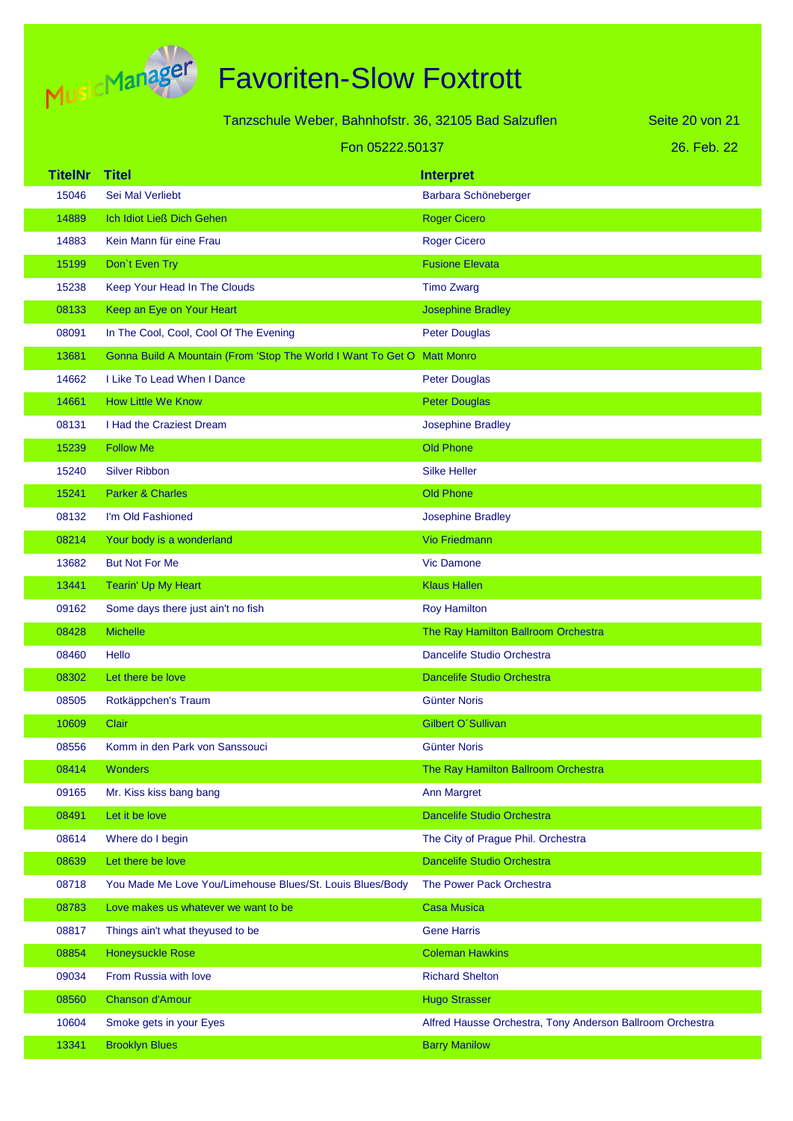

|                | Tanzschule Weber, Bahnhofstr. 36, 32105 Bad Salzuflen                   |                                                           | Seite 20 von 21 |
|----------------|-------------------------------------------------------------------------|-----------------------------------------------------------|-----------------|
|                | Fon 05222.50137                                                         |                                                           | 26. Feb. 22     |
| <b>TitelNr</b> | <b>Titel</b>                                                            | <b>Interpret</b>                                          |                 |
| 15046          | Sei Mal Verliebt                                                        | Barbara Schöneberger                                      |                 |
| 14889          | Ich Idiot Ließ Dich Gehen                                               | <b>Roger Cicero</b>                                       |                 |
| 14883          | Kein Mann für eine Frau                                                 | <b>Roger Cicero</b>                                       |                 |
| 15199          | Don't Even Try                                                          | <b>Fusione Elevata</b>                                    |                 |
| 15238          | Keep Your Head In The Clouds                                            | <b>Timo Zwarg</b>                                         |                 |
| 08133          | Keep an Eye on Your Heart                                               | <b>Josephine Bradley</b>                                  |                 |
| 08091          | In The Cool, Cool, Cool Of The Evening                                  | <b>Peter Douglas</b>                                      |                 |
| 13681          | Gonna Build A Mountain (From 'Stop The World I Want To Get O Matt Monro |                                                           |                 |
| 14662          | I Like To Lead When I Dance                                             | <b>Peter Douglas</b>                                      |                 |
| 14661          | <b>How Little We Know</b>                                               | <b>Peter Douglas</b>                                      |                 |
| 08131          | I Had the Craziest Dream                                                | <b>Josephine Bradley</b>                                  |                 |
| 15239          | <b>Follow Me</b>                                                        | <b>Old Phone</b>                                          |                 |
| 15240          | <b>Silver Ribbon</b>                                                    | <b>Silke Heller</b>                                       |                 |
| 15241          | <b>Parker &amp; Charles</b>                                             | <b>Old Phone</b>                                          |                 |
| 08132          | I'm Old Fashioned                                                       | <b>Josephine Bradley</b>                                  |                 |
| 08214          | Your body is a wonderland                                               | <b>Vio Friedmann</b>                                      |                 |
| 13682          | <b>But Not For Me</b>                                                   | <b>Vic Damone</b>                                         |                 |
| 13441          | Tearin' Up My Heart                                                     | <b>Klaus Hallen</b>                                       |                 |
| 09162          | Some days there just ain't no fish                                      | <b>Roy Hamilton</b>                                       |                 |
| 08428          | <b>Michelle</b>                                                         | The Ray Hamilton Ballroom Orchestra                       |                 |
| 08460          | Hello                                                                   | Dancelife Studio Orchestra                                |                 |
| 08302          | Let there be love                                                       | <b>Dancelife Studio Orchestra</b>                         |                 |
| 08505          | Rotkäppchen's Traum                                                     | <b>Günter Noris</b>                                       |                 |
| 10609          | <b>Clair</b>                                                            | Gilbert O'Sullivan                                        |                 |
| 08556          | Komm in den Park von Sanssouci                                          | <b>Günter Noris</b>                                       |                 |
| 08414          | Wonders                                                                 | The Ray Hamilton Ballroom Orchestra                       |                 |
| 09165          | Mr. Kiss kiss bang bang                                                 | <b>Ann Margret</b>                                        |                 |
| 08491          | Let it be love                                                          | <b>Dancelife Studio Orchestra</b>                         |                 |
| 08614          | Where do I begin                                                        | The City of Prague Phil. Orchestra                        |                 |
| 08639          | Let there be love                                                       | <b>Dancelife Studio Orchestra</b>                         |                 |
| 08718          | You Made Me Love You/Limehouse Blues/St. Louis Blues/Body               | The Power Pack Orchestra                                  |                 |
| 08783          | Love makes us whatever we want to be                                    | <b>Casa Musica</b>                                        |                 |
| 08817          | Things ain't what theyused to be                                        | <b>Gene Harris</b>                                        |                 |
| 08854          | <b>Honeysuckle Rose</b>                                                 | <b>Coleman Hawkins</b>                                    |                 |
| 09034          | From Russia with love                                                   | <b>Richard Shelton</b>                                    |                 |
| 08560          | <b>Chanson d'Amour</b>                                                  | <b>Hugo Strasser</b>                                      |                 |
| 10604          | Smoke gets in your Eyes                                                 | Alfred Hausse Orchestra, Tony Anderson Ballroom Orchestra |                 |
| 13341          | <b>Brooklyn Blues</b>                                                   | <b>Barry Manilow</b>                                      |                 |